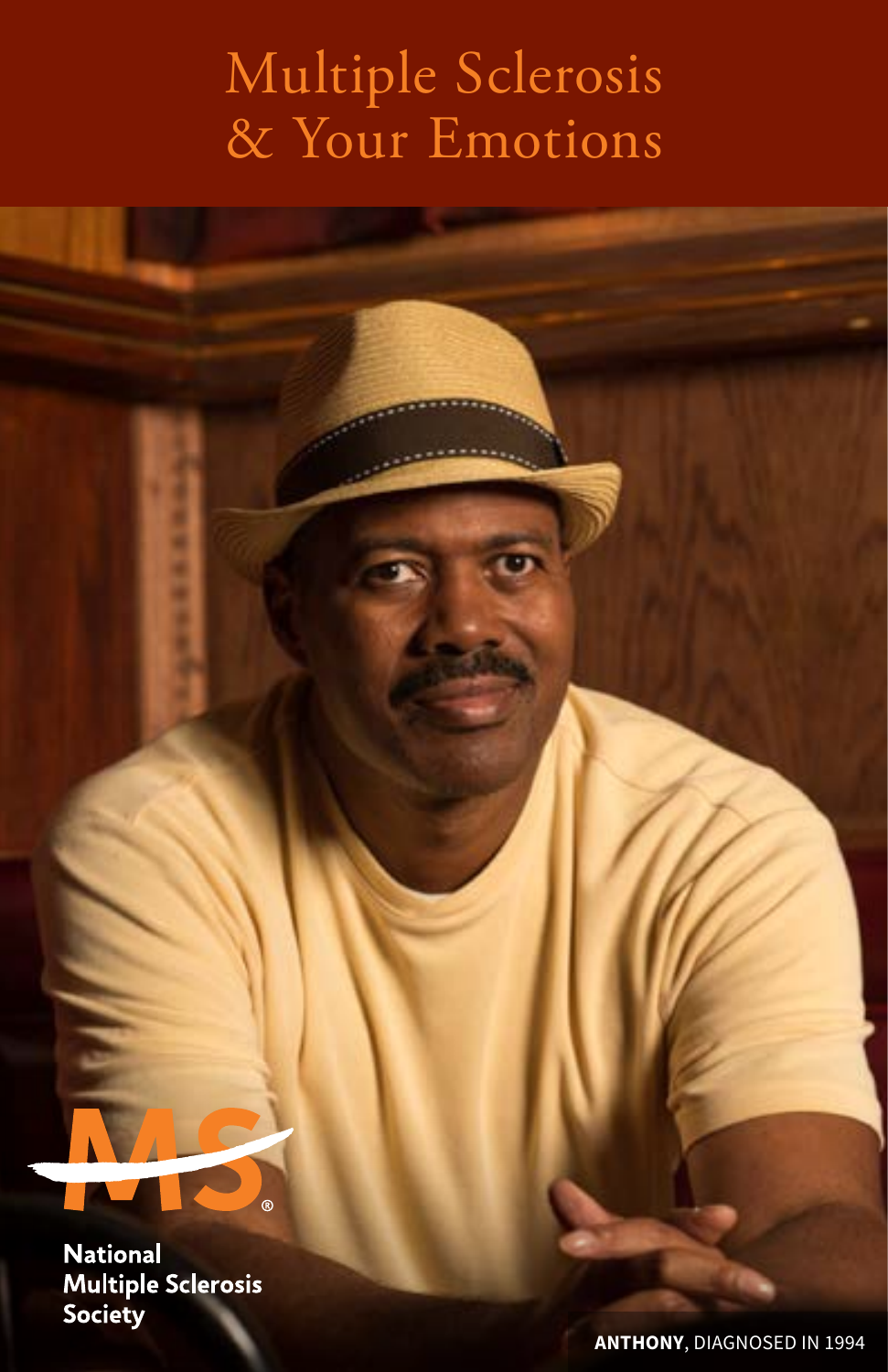# Multiple Sclerosis & Your Emotions

**National Multiple Sclerosis** Society

**ANTHONY**, DIAGNOSED IN 1994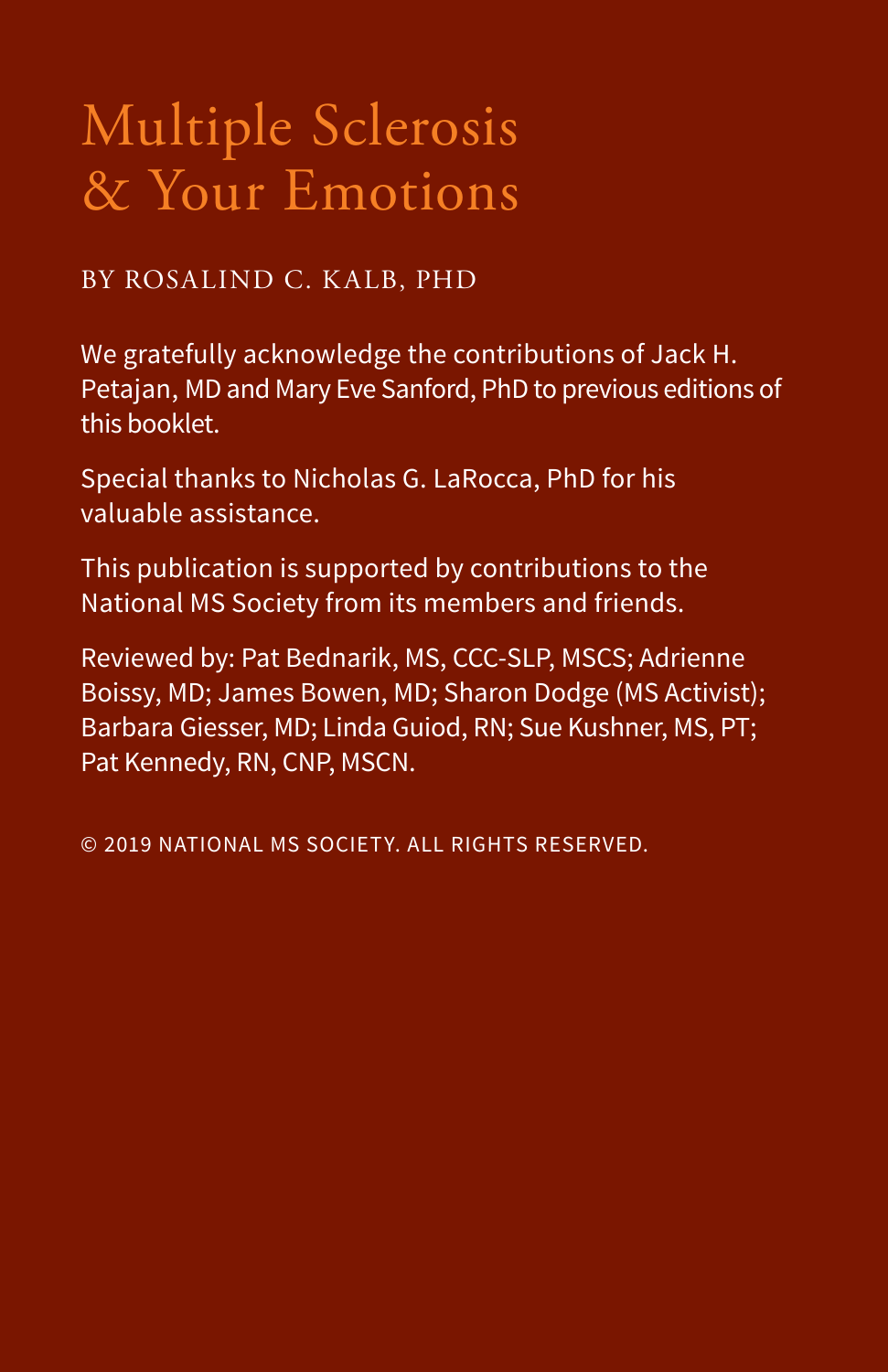## Multiple Sclerosis & Your Emotions

BY ROSALIND C. KALB, PHD

We gratefully acknowledge the contributions of Jack H. Petajan, MD and Mary Eve Sanford, PhD to previous editions of this booklet.

Special thanks to Nicholas G. LaRocca, PhD for his valuable assistance.

This publication is supported by contributions to the National MS Society from its members and friends.

Reviewed by: Pat Bednarik, MS, CCC-SLP, MSCS; Adrienne Boissy, MD; James Bowen, MD; Sharon Dodge (MS Activist); Barbara Giesser, MD; Linda Guiod, RN; Sue Kushner, MS, PT; Pat Kennedy, RN, CNP, MSCN.

© 2019 NATIONAL MS SOCIETY. ALL RIGHTS RESERVED.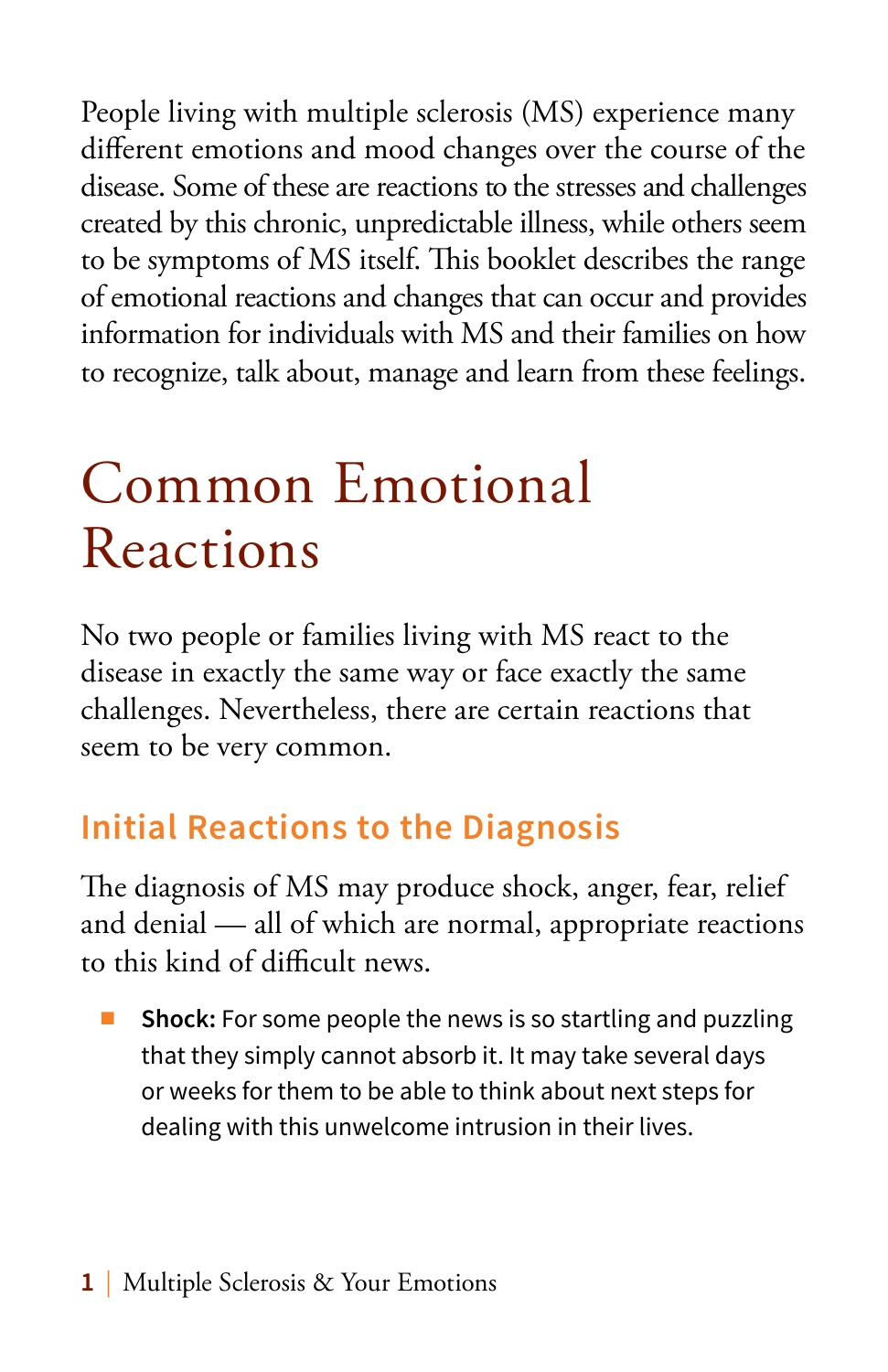People living with multiple sclerosis (MS) experience many different emotions and mood changes over the course of the disease. Some of these are reactions to the stresses and challenges created by this chronic, unpredictable illness, while others seem to be symptoms of MS itself. This booklet describes the range of emotional reactions and changes that can occur and provides information for individuals with MS and their families on how to recognize, talk about, manage and learn from these feelings.

# Common Emotional Reactions

No two people or families living with MS react to the disease in exactly the same way or face exactly the same challenges. Nevertheless, there are certain reactions that seem to be very common.

## **Initial Reactions to the Diagnosis**

The diagnosis of MS may produce shock, anger, fear, relief and denial — all of which are normal, appropriate reactions to this kind of difficult news.

**Shock:** For some people the news is so startling and puzzling that they simply cannot absorb it. It may take several days or weeks for them to be able to think about next steps for dealing with this unwelcome intrusion in their lives.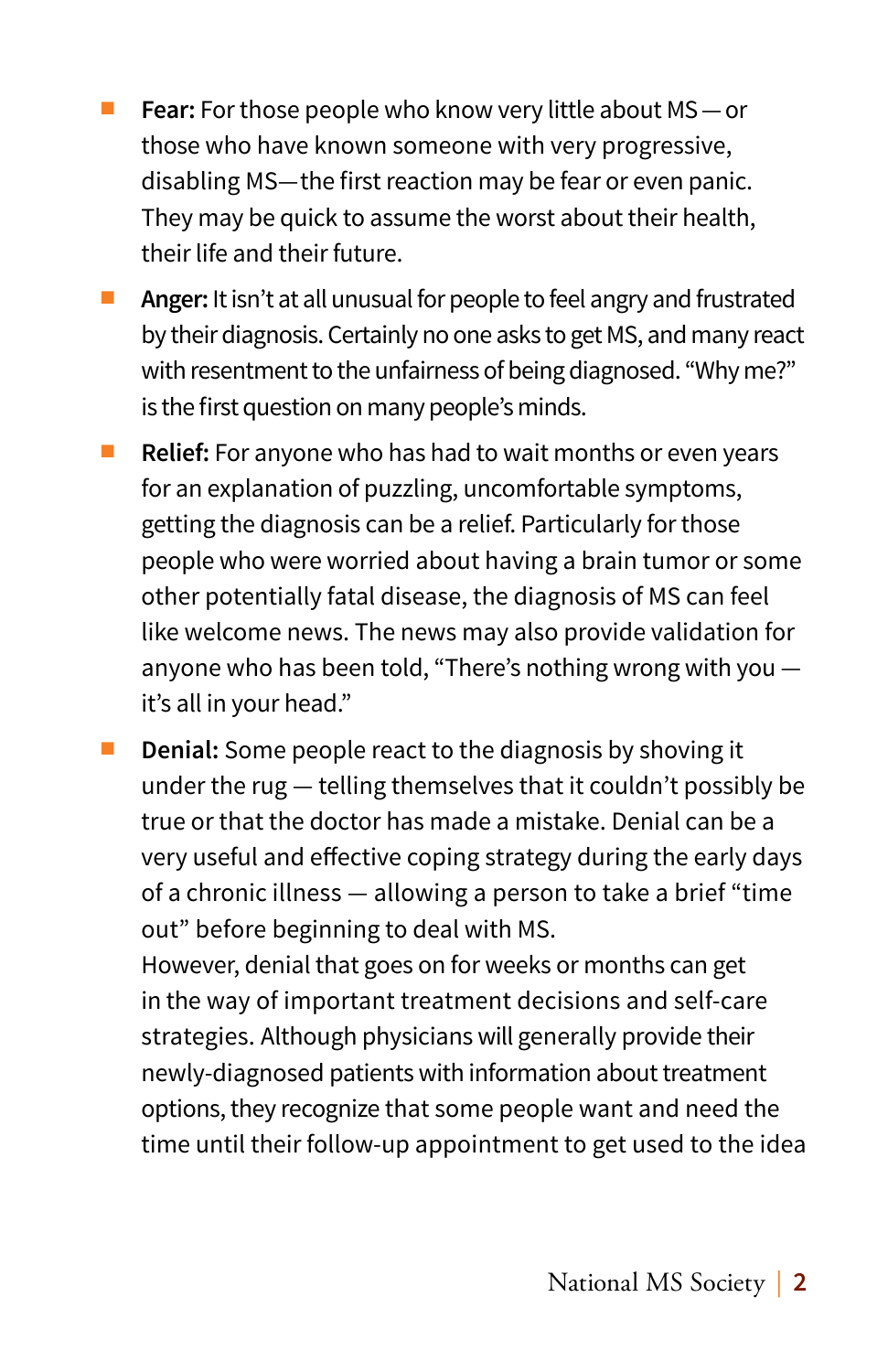- **Fear:** For those people who know very little about MS or those who have known someone with very progressive, disabling MS— the first reaction may be fear or even panic. They may be quick to assume the worst about their health, their life and their future.
- **Anger:** It isn't at all unusual for people to feel angry and frustrated by their diagnosis. Certainly no one asks to get MS, and many react with resentment to the unfairness of being diagnosed. "Why me?" is the first question on many people's minds.
- **Relief:** For anyone who has had to wait months or even years for an explanation of puzzling, uncomfortable symptoms, getting the diagnosis can be a relief. Particularly for those people who were worried about having a brain tumor or some other potentially fatal disease, the diagnosis of MS can feel like welcome news. The news may also provide validation for anyone who has been told, "There's nothing wrong with you it's all in your head."
- **Denial:** Some people react to the diagnosis by shoving it under the rug — telling themselves that it couldn't possibly be true or that the doctor has made a mistake. Denial can be a very useful and effective coping strategy during the early days of a chronic illness — allowing a person to take a brief "time out" before beginning to deal with MS.

However, denial that goes on for weeks or months can get in the way of important treatment decisions and self-care strategies. Although physicians will generally provide their newly-diagnosed patients with information about treatment options, they recognize that some people want and need the time until their follow-up appointment to get used to the idea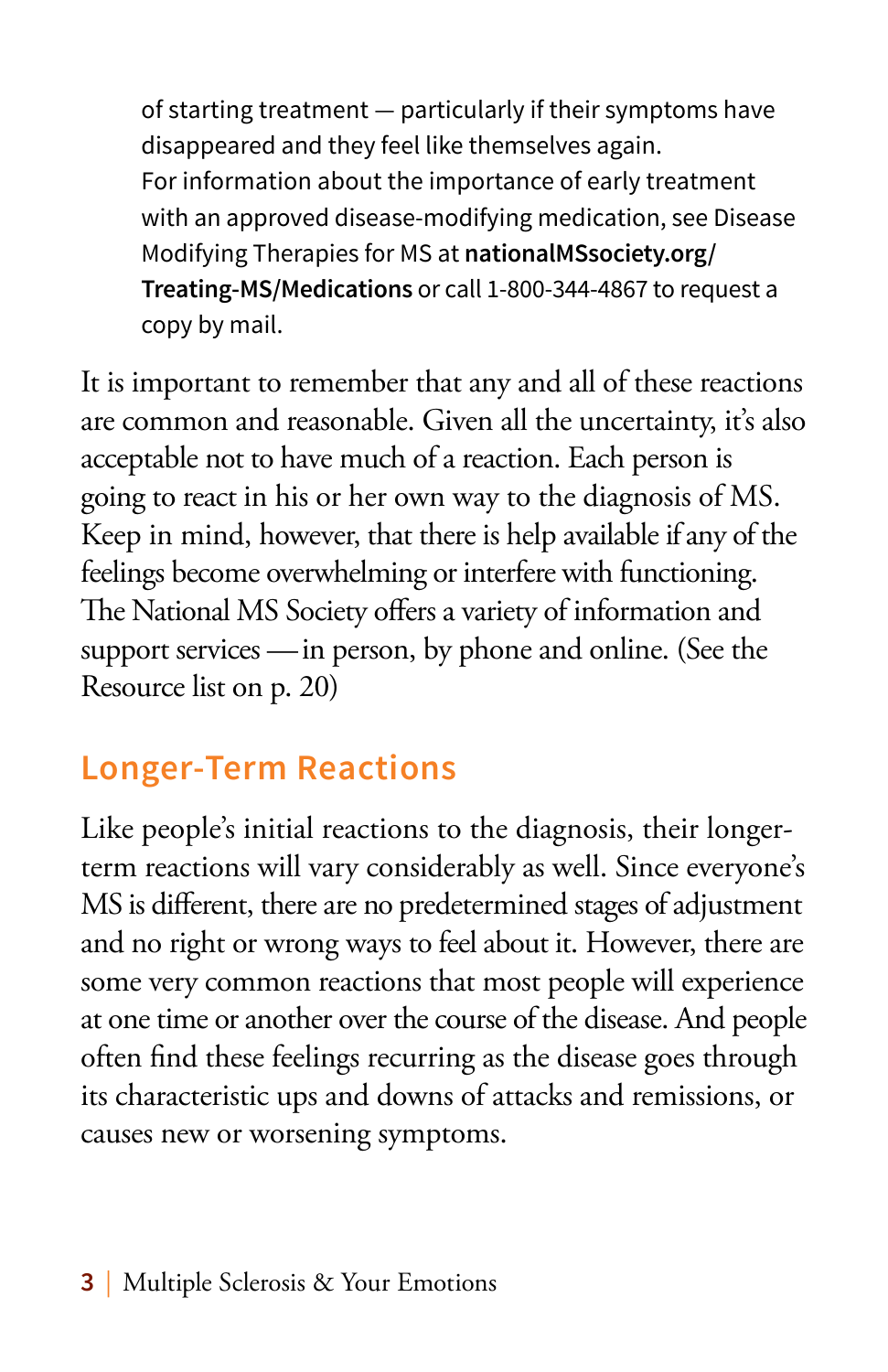of starting treatment — particularly if their symptoms have disappeared and they feel like themselves again. For information about the importance of early treatment with an approved disease-modifying medication, see Disease Modifying Therapies for MS at **nationalMSsociety.org/ Treating-MS/Medications** or call 1-800-344-4867 to request a copy by mail.

It is important to remember that any and all of these reactions are common and reasonable. Given all the uncertainty, it's also acceptable not to have much of a reaction. Each person is going to react in his or her own way to the diagnosis of MS. Keep in mind, however, that there is help available if any of the feelings become overwhelming or interfere with functioning. The National MS Society offers a variety of information and support services — in person, by phone and online. (See the Resource list on p. 20)

### **Longer-Term Reactions**

Like people's initial reactions to the diagnosis, their longerterm reactions will vary considerably as well. Since everyone's MS is different, there are no predetermined stages of adjustment and no right or wrong ways to feel about it. However, there are some very common reactions that most people will experience at one time or another over the course of the disease. And people often find these feelings recurring as the disease goes through its characteristic ups and downs of attacks and remissions, or causes new or worsening symptoms.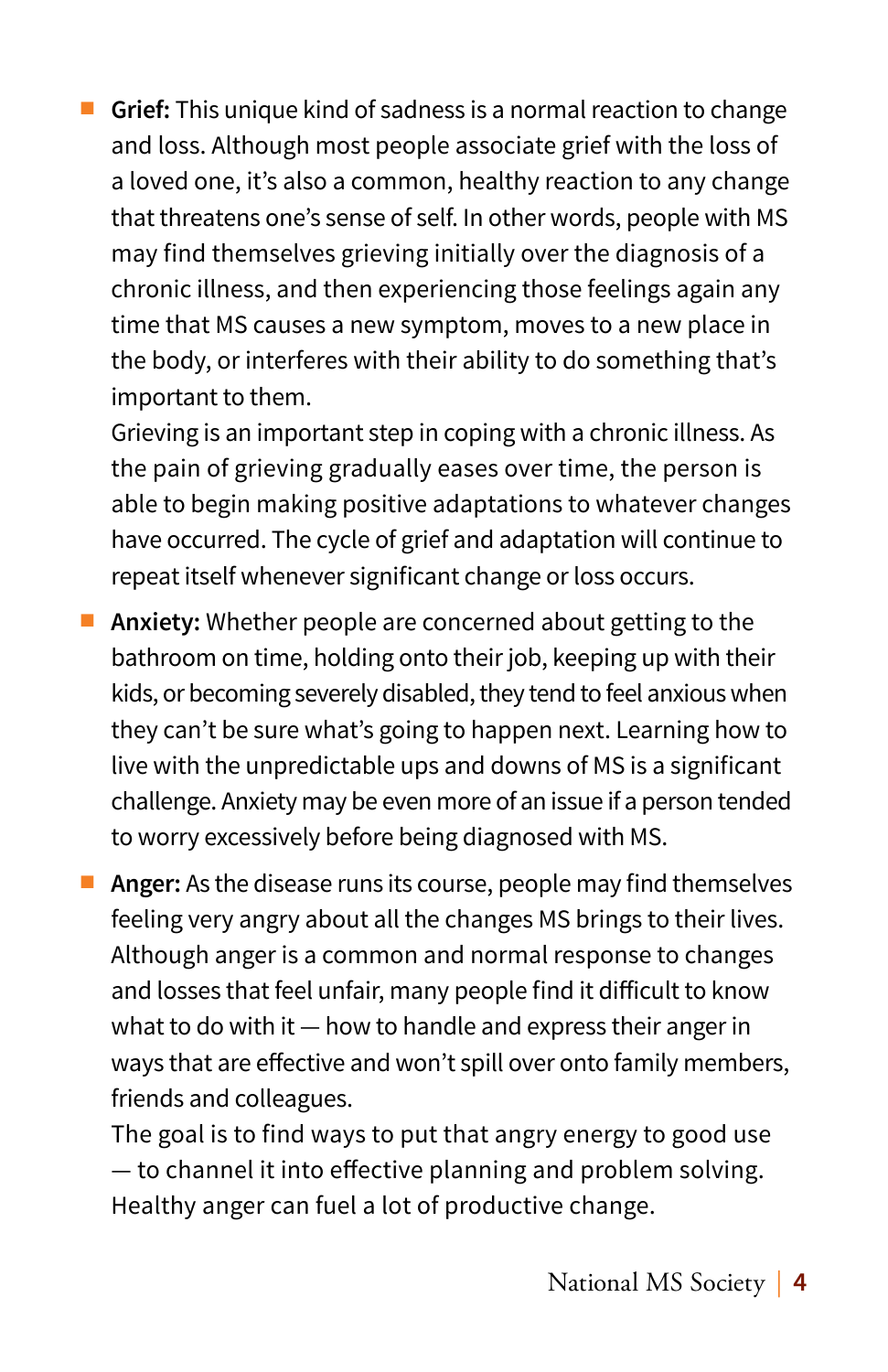■ **Grief:** This unique kind of sadness is a normal reaction to change and loss. Although most people associate grief with the loss of a loved one, it's also a common, healthy reaction to any change that threatens one's sense of self. In other words, people with MS may find themselves grieving initially over the diagnosis of a chronic illness, and then experiencing those feelings again any time that MS causes a new symptom, moves to a new place in the body, or interferes with their ability to do something that's important to them.

Grieving is an important step in coping with a chronic illness. As the pain of grieving gradually eases over time, the person is able to begin making positive adaptations to whatever changes have occurred. The cycle of grief and adaptation will continue to repeat itself whenever significant change or loss occurs.

■ **Anxiety:** Whether people are concerned about getting to the bathroom on time, holding onto their job, keeping up with their kids, or becoming severely disabled, they tend to feel anxious when they can't be sure what's going to happen next. Learning how to live with the unpredictable ups and downs of MS is a significant challenge. Anxiety may be even more of an issue if a person tended to worry excessively before being diagnosed with MS.

■ **Anger:** As the disease runs its course, people may find themselves feeling very angry about all the changes MS brings to their lives. Although anger is a common and normal response to changes and losses that feel unfair, many people find it difficult to know what to do with it — how to handle and express their anger in ways that are effective and won't spill over onto family members, friends and colleagues.

The goal is to find ways to put that angry energy to good use — to channel it into effective planning and problem solving. Healthy anger can fuel a lot of productive change.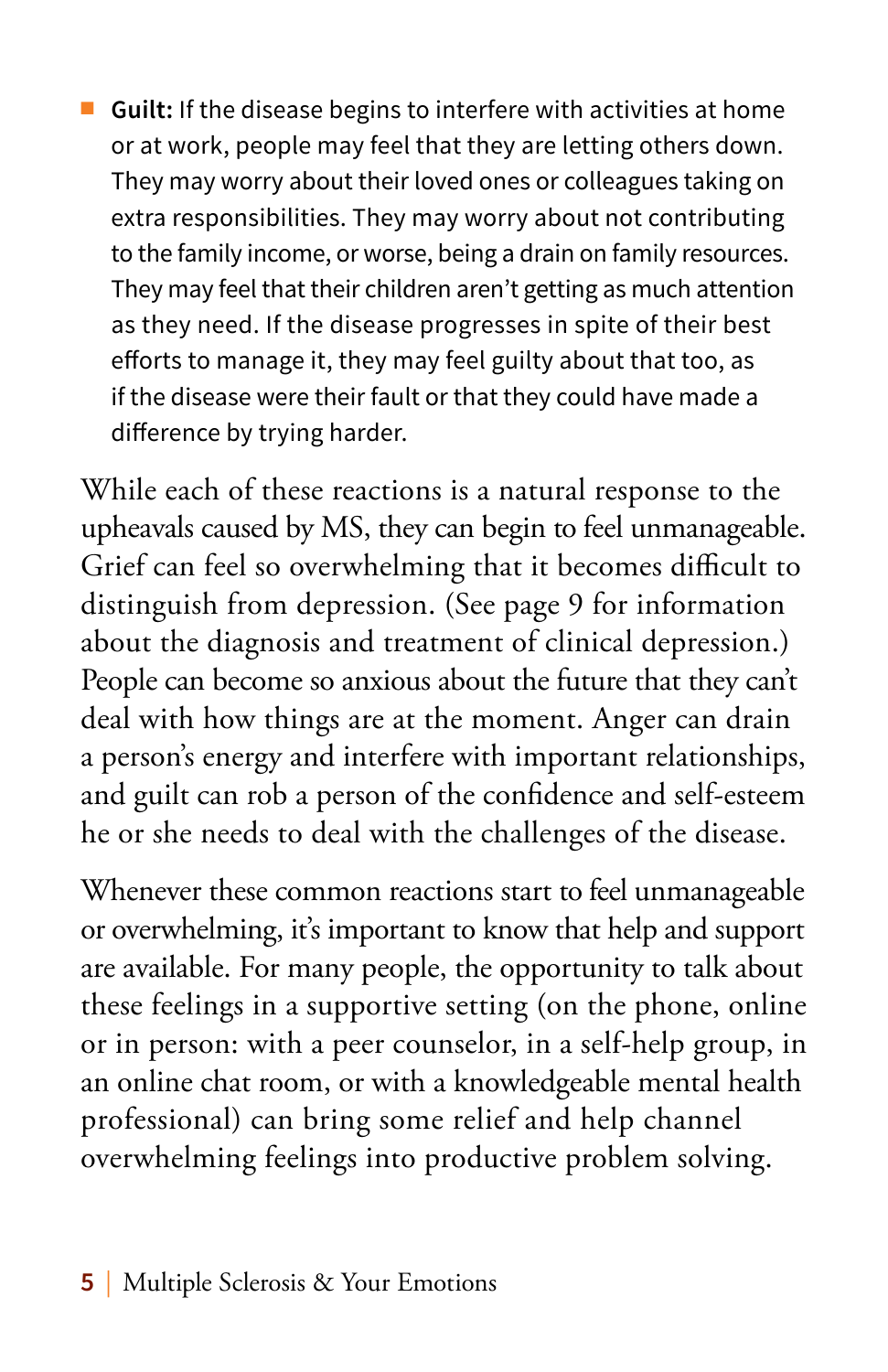■ Guilt: If the disease begins to interfere with activities at home or at work, people may feel that they are letting others down. They may worry about their loved ones or colleagues taking on extra responsibilities. They may worry about not contributing to the family income, or worse, being a drain on family resources. They may feel that their children aren't getting as much attention as they need. If the disease progresses in spite of their best efforts to manage it, they may feel guilty about that too, as if the disease were their fault or that they could have made a difference by trying harder.

While each of these reactions is a natural response to the upheavals caused by MS, they can begin to feel unmanageable. Grief can feel so overwhelming that it becomes difficult to distinguish from depression. (See page 9 for information about the diagnosis and treatment of clinical depression.) People can become so anxious about the future that they can't deal with how things are at the moment. Anger can drain a person's energy and interfere with important relationships, and guilt can rob a person of the confidence and self-esteem he or she needs to deal with the challenges of the disease.

Whenever these common reactions start to feel unmanageable or overwhelming, it's important to know that help and support are available. For many people, the opportunity to talk about these feelings in a supportive setting (on the phone, online or in person: with a peer counselor, in a self-help group, in an online chat room, or with a knowledgeable mental health professional) can bring some relief and help channel overwhelming feelings into productive problem solving.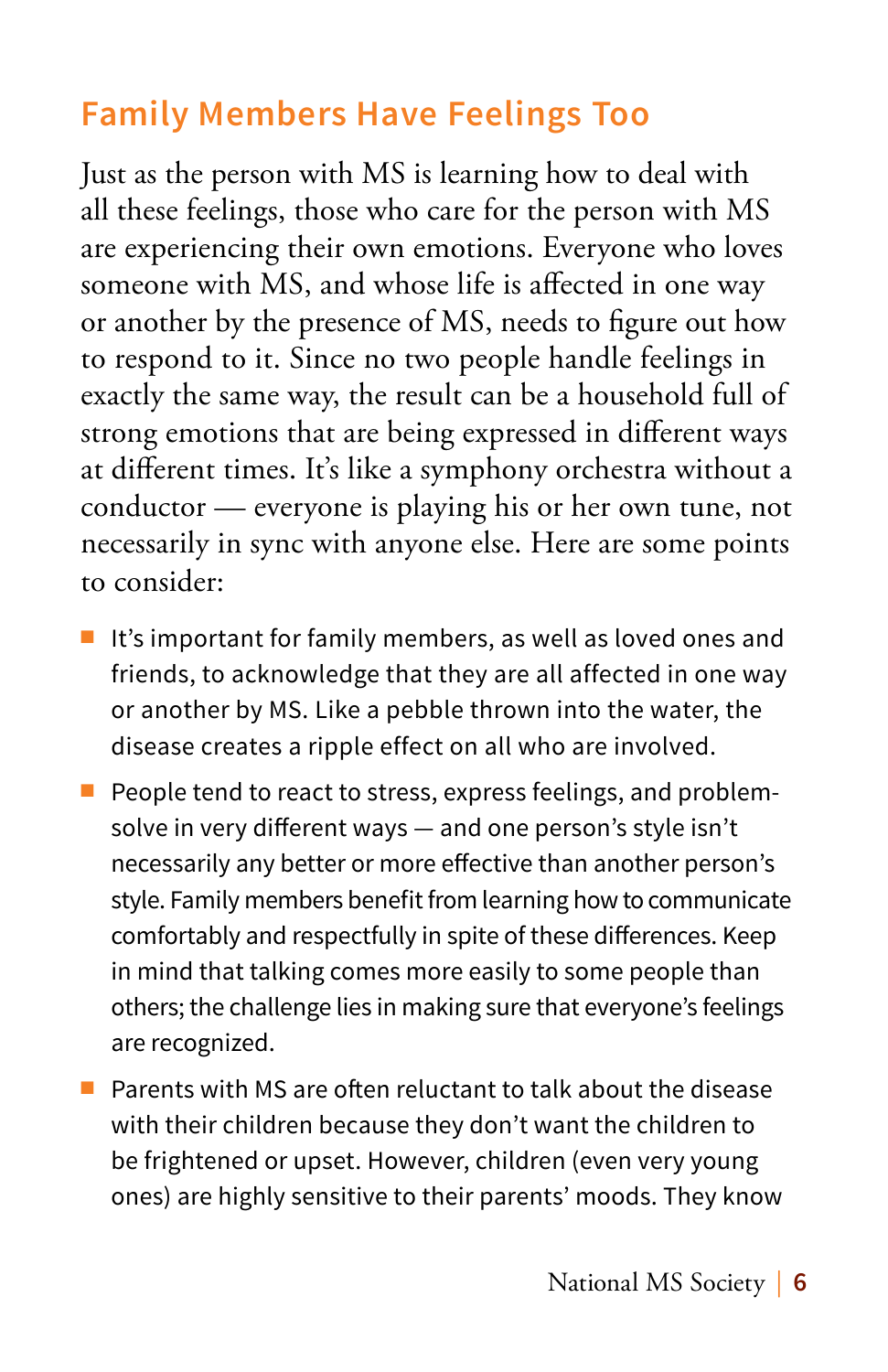### **Family Members Have Feelings Too**

Just as the person with MS is learning how to deal with all these feelings, those who care for the person with MS are experiencing their own emotions. Everyone who loves someone with MS, and whose life is affected in one way or another by the presence of MS, needs to figure out how to respond to it. Since no two people handle feelings in exactly the same way, the result can be a household full of strong emotions that are being expressed in different ways at different times. It's like a symphony orchestra without a conductor — everyone is playing his or her own tune, not necessarily in sync with anyone else. Here are some points to consider:

- It's important for family members, as well as loved ones and friends, to acknowledge that they are all affected in one way or another by MS. Like a pebble thrown into the water, the disease creates a ripple effect on all who are involved.
- People tend to react to stress, express feelings, and problemsolve in very different ways — and one person's style isn't necessarily any better or more effective than another person's style. Family members benefit from learning how to communicate comfortably and respectfully in spite of these differences. Keep in mind that talking comes more easily to some people than others; the challenge lies in making sure that everyone's feelings are recognized.
- Parents with MS are often reluctant to talk about the disease with their children because they don't want the children to be frightened or upset. However, children (even very young ones) are highly sensitive to their parents' moods. They know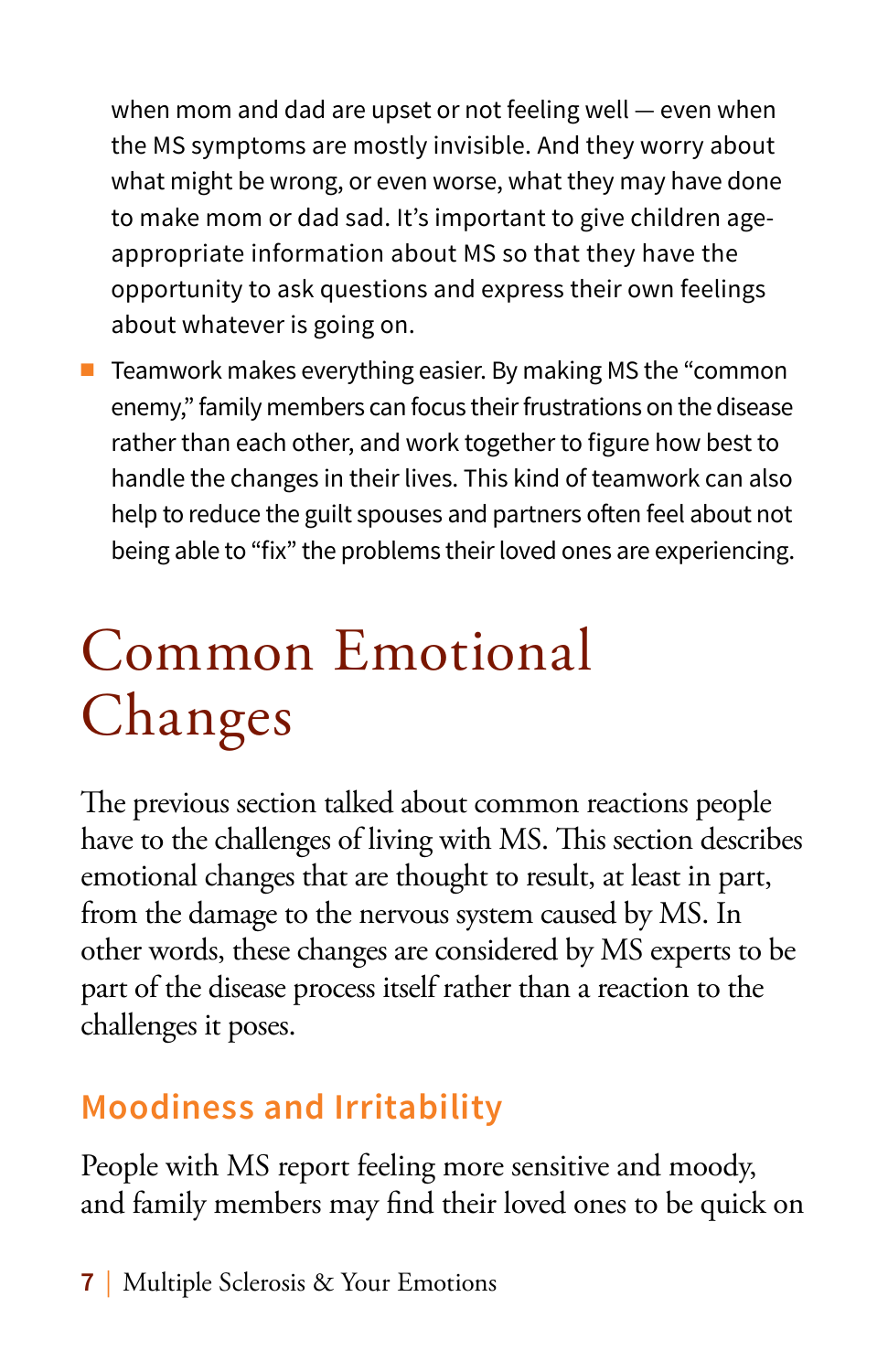when mom and dad are upset or not feeling well — even when the MS symptoms are mostly invisible. And they worry about what might be wrong, or even worse, what they may have done to make mom or dad sad. It's important to give children ageappropriate information about MS so that they have the opportunity to ask questions and express their own feelings about whatever is going on.

 $\blacksquare$  Teamwork makes everything easier. By making MS the "common enemy," family members can focus their frustrations on the disease rather than each other, and work together to figure how best to handle the changes in their lives. This kind of teamwork can also help to reduce the guilt spouses and partners often feel about not being able to "fix" the problems their loved ones are experiencing.

# Common Emotional Changes

The previous section talked about common reactions people have to the challenges of living with MS. This section describes emotional changes that are thought to result, at least in part, from the damage to the nervous system caused by MS. In other words, these changes are considered by MS experts to be part of the disease process itself rather than a reaction to the challenges it poses.

### **Moodiness and Irritability**

People with MS report feeling more sensitive and moody, and family members may find their loved ones to be quick on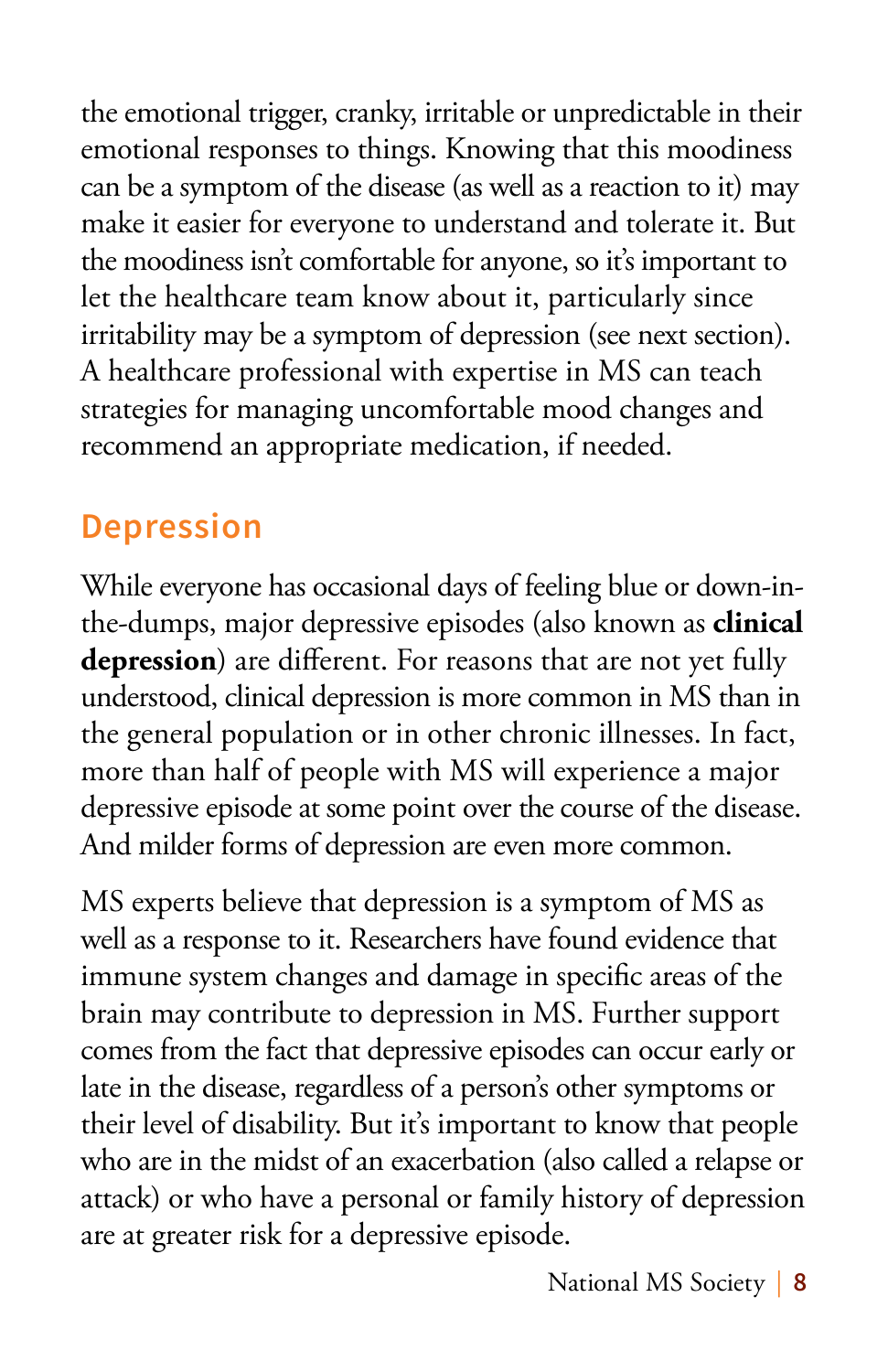the emotional trigger, cranky, irritable or unpredictable in their emotional responses to things. Knowing that this moodiness can be a symptom of the disease (as well as a reaction to it) may make it easier for everyone to understand and tolerate it. But the moodiness isn't comfortable for anyone, so it's important to let the healthcare team know about it, particularly since irritability may be a symptom of depression (see next section). A healthcare professional with expertise in MS can teach strategies for managing uncomfortable mood changes and recommend an appropriate medication, if needed.

#### **Depression**

While everyone has occasional days of feeling blue or down-inthe-dumps, major depressive episodes (also known as **clinical depression**) are different. For reasons that are not yet fully understood, clinical depression is more common in MS than in the general population or in other chronic illnesses. In fact, more than half of people with MS will experience a major depressive episode at some point over the course of the disease. And milder forms of depression are even more common.

MS experts believe that depression is a symptom of MS as well as a response to it. Researchers have found evidence that immune system changes and damage in specific areas of the brain may contribute to depression in MS. Further support comes from the fact that depressive episodes can occur early or late in the disease, regardless of a person's other symptoms or their level of disability. But it's important to know that people who are in the midst of an exacerbation (also called a relapse or attack) or who have a personal or family history of depression are at greater risk for a depressive episode.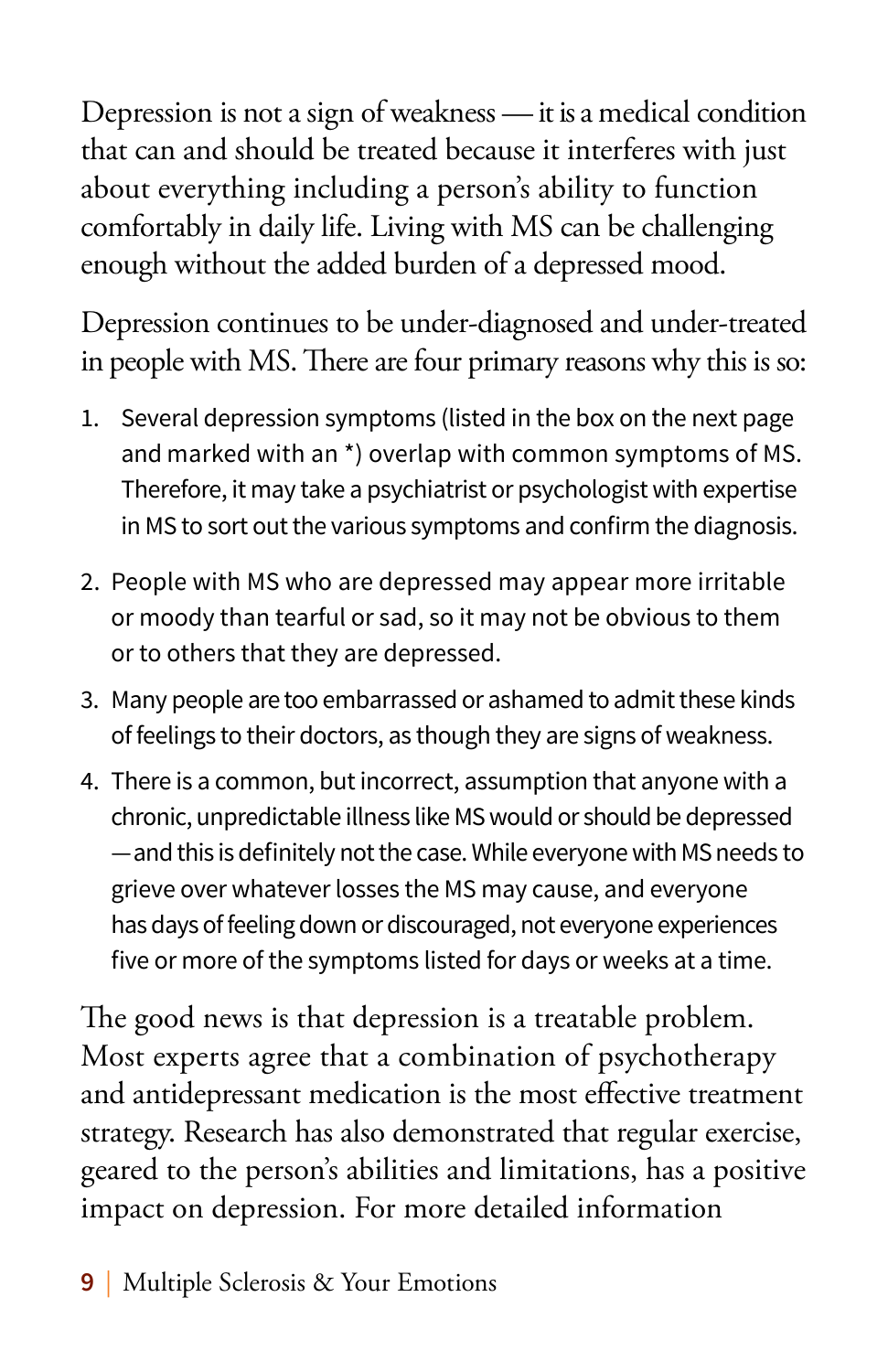Depression is not a sign of weakness — it is a medical condition that can and should be treated because it interferes with just about everything including a person's ability to function comfortably in daily life. Living with MS can be challenging enough without the added burden of a depressed mood.

Depression continues to be under-diagnosed and under-treated in people with MS. There are four primary reasons why this is so:

- 1. Several depression symptoms (listed in the box on the next page and marked with an \*) overlap with common symptoms of MS. Therefore, it may take a psychiatrist or psychologist with expertise in MS to sort out the various symptoms and confirm the diagnosis.
- 2. People with MS who are depressed may appear more irritable or moody than tearful or sad, so it may not be obvious to them or to others that they are depressed.
- 3. Many people are too embarrassed or ashamed to admit these kinds of feelings to their doctors, as though they are signs of weakness.
- 4. There is a common, but incorrect, assumption that anyone with a chronic, unpredictable illness like MS would or should be depressed — and this is definitely not the case. While everyone with MS needs to grieve over whatever losses the MS may cause, and everyone has days of feeling down or discouraged, not everyone experiences five or more of the symptoms listed for days or weeks at a time.

The good news is that depression is a treatable problem. Most experts agree that a combination of psychotherapy and antidepressant medication is the most effective treatment strategy. Research has also demonstrated that regular exercise, geared to the person's abilities and limitations, has a positive impact on depression. For more detailed information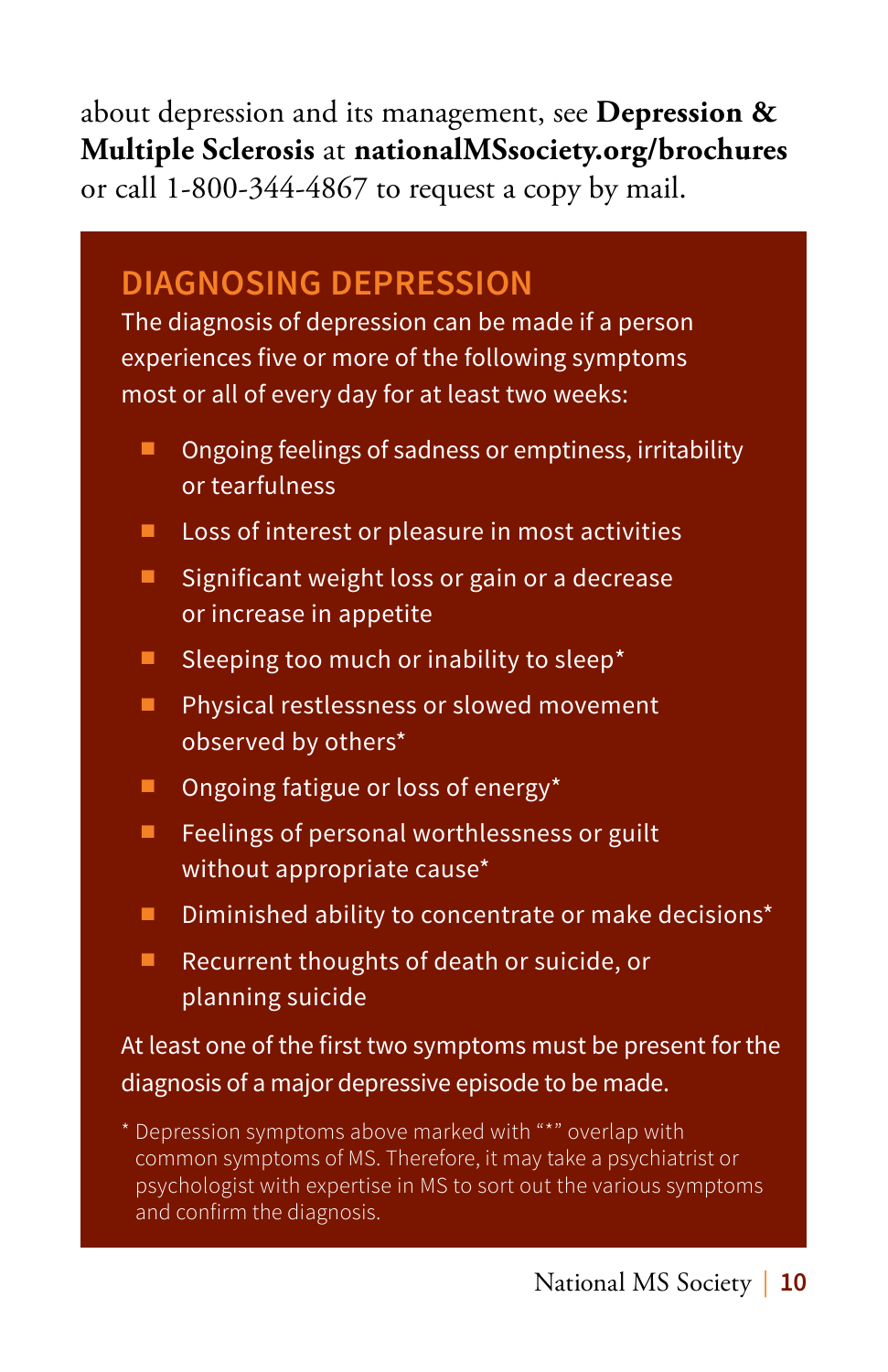about depression and its management, see **Depression & Multiple Sclerosis** at **nationalMSsociety.org/brochures** or call 1-800-344-4867 to request a copy by mail.

#### **DIAGNOSING DEPRESSION**

The diagnosis of depression can be made if a person experiences five or more of the following symptoms most or all of every day for at least two weeks:

- Ongoing feelings of sadness or emptiness, irritability or tearfulness
- Loss of interest or pleasure in most activities
- Significant weight loss or gain or a decrease or increase in appetite
- Sleeping too much or inability to sleep<sup>\*</sup>
- Physical restlessness or slowed movement observed by others\*
- Ongoing fatigue or loss of energy<sup>\*</sup>
- Feelings of personal worthlessness or guilt without appropriate cause\*
- Diminished ability to concentrate or make decisions<sup>\*</sup>
- Recurrent thoughts of death or suicide, or planning suicide

At least one of the first two symptoms must be present for the diagnosis of a major depressive episode to be made.

\* Depression symptoms above marked with "\*" overlap with common symptoms of MS. Therefore, it may take a psychiatrist or psychologist with expertise in MS to sort out the various symptoms and confirm the diagnosis.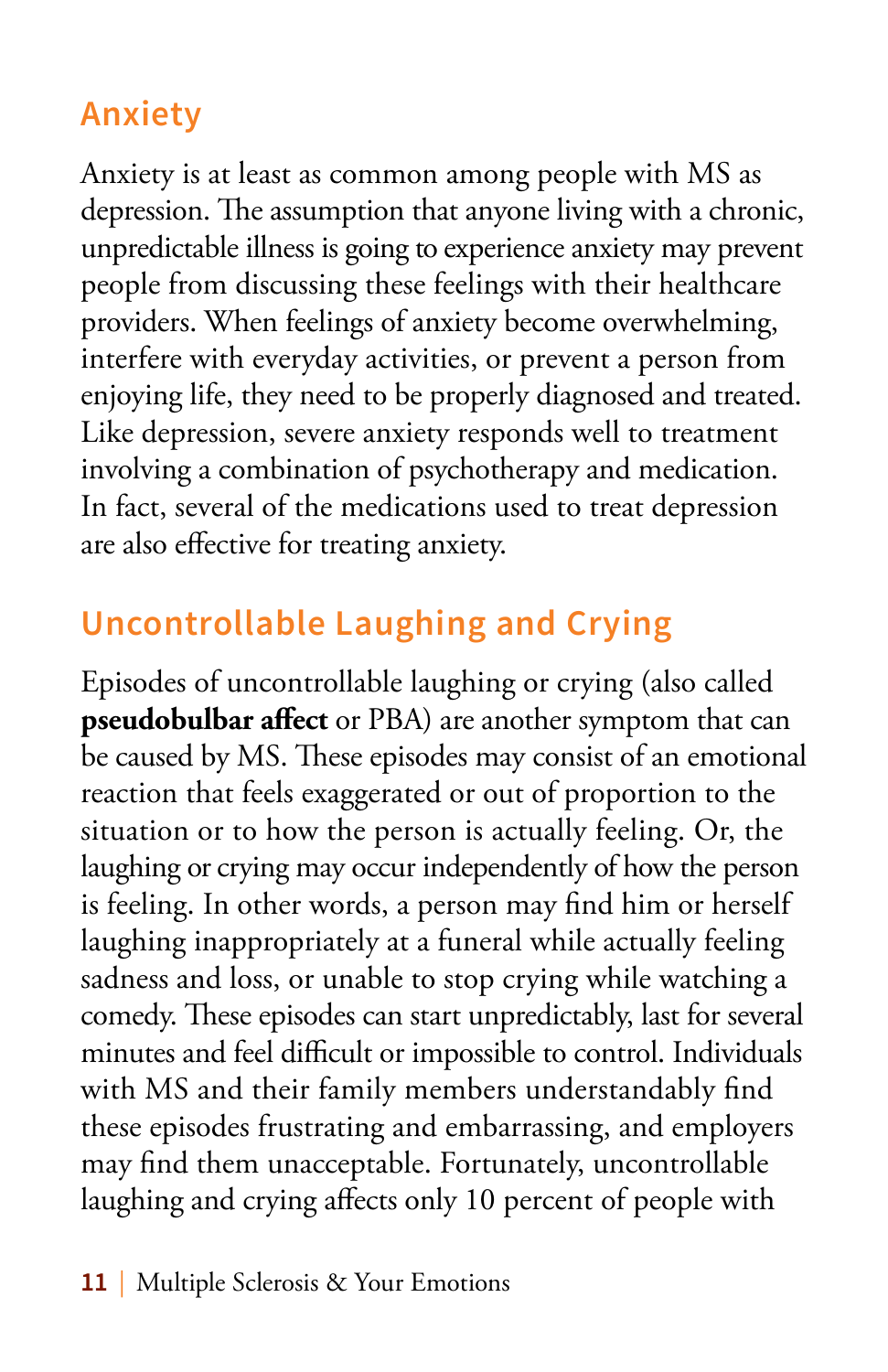### **Anxiety**

Anxiety is at least as common among people with MS as depression. The assumption that anyone living with a chronic, unpredictable illness is going to experience anxiety may prevent people from discussing these feelings with their healthcare providers. When feelings of anxiety become overwhelming, interfere with everyday activities, or prevent a person from enjoying life, they need to be properly diagnosed and treated. Like depression, severe anxiety responds well to treatment involving a combination of psychotherapy and medication. In fact, several of the medications used to treat depression are also effective for treating anxiety.

## **Uncontrollable Laughing and Crying**

Episodes of uncontrollable laughing or crying (also called **pseudobulbar affect** or PBA) are another symptom that can be caused by MS. These episodes may consist of an emotional reaction that feels exaggerated or out of proportion to the situation or to how the person is actually feeling. Or, the laughing or crying may occur independently of how the person is feeling. In other words, a person may find him or herself laughing inappropriately at a funeral while actually feeling sadness and loss, or unable to stop crying while watching a comedy. These episodes can start unpredictably, last for several minutes and feel difficult or impossible to control. Individuals with MS and their family members understandably find these episodes frustrating and embarrassing, and employers may find them unacceptable. Fortunately, uncontrollable laughing and crying affects only 10 percent of people with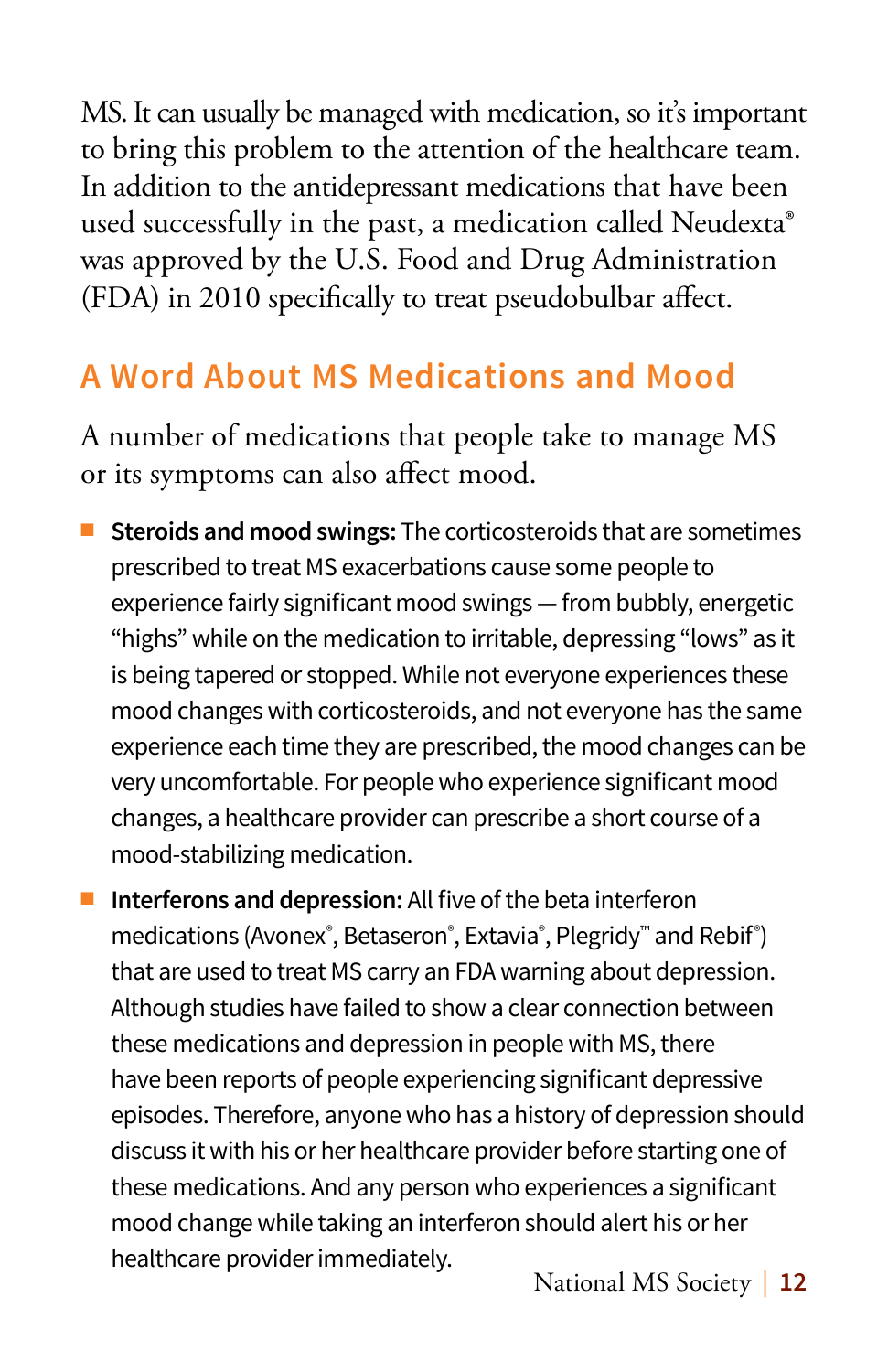MS. It can usually be managed with medication, so it's important to bring this problem to the attention of the healthcare team. In addition to the antidepressant medications that have been used successfully in the past, a medication called Neudexta® was approved by the U.S. Food and Drug Administration (FDA) in 2010 specifically to treat pseudobulbar affect.

### **A Word About MS Medications and Mood**

A number of medications that people take to manage MS or its symptoms can also affect mood.

- **Steroids and mood swings:** The corticosteroids that are sometimes prescribed to treat MS exacerbations cause some people to experience fairly significant mood swings — from bubbly, energetic "highs" while on the medication to irritable, depressing "lows" as it is being tapered or stopped. While not everyone experiences these mood changes with corticosteroids, and not everyone has the same experience each time they are prescribed, the mood changes can be very uncomfortable. For people who experience significant mood changes, a healthcare provider can prescribe a short course of a mood-stabilizing medication.
- **Interferons and depression:** All five of the beta interferon medications (Avonex®, Betaseron®, Extavia®, Plegridy™ and Rebif®) that are used to treat MS carry an FDA warning about depression. Although studies have failed to show a clear connection between these medications and depression in people with MS, there have been reports of people experiencing significant depressive episodes. Therefore, anyone who has a history of depression should discuss it with his or her healthcare provider before starting one of these medications. And any person who experiences a significant mood change while taking an interferon should alert his or her healthcare provider immediately.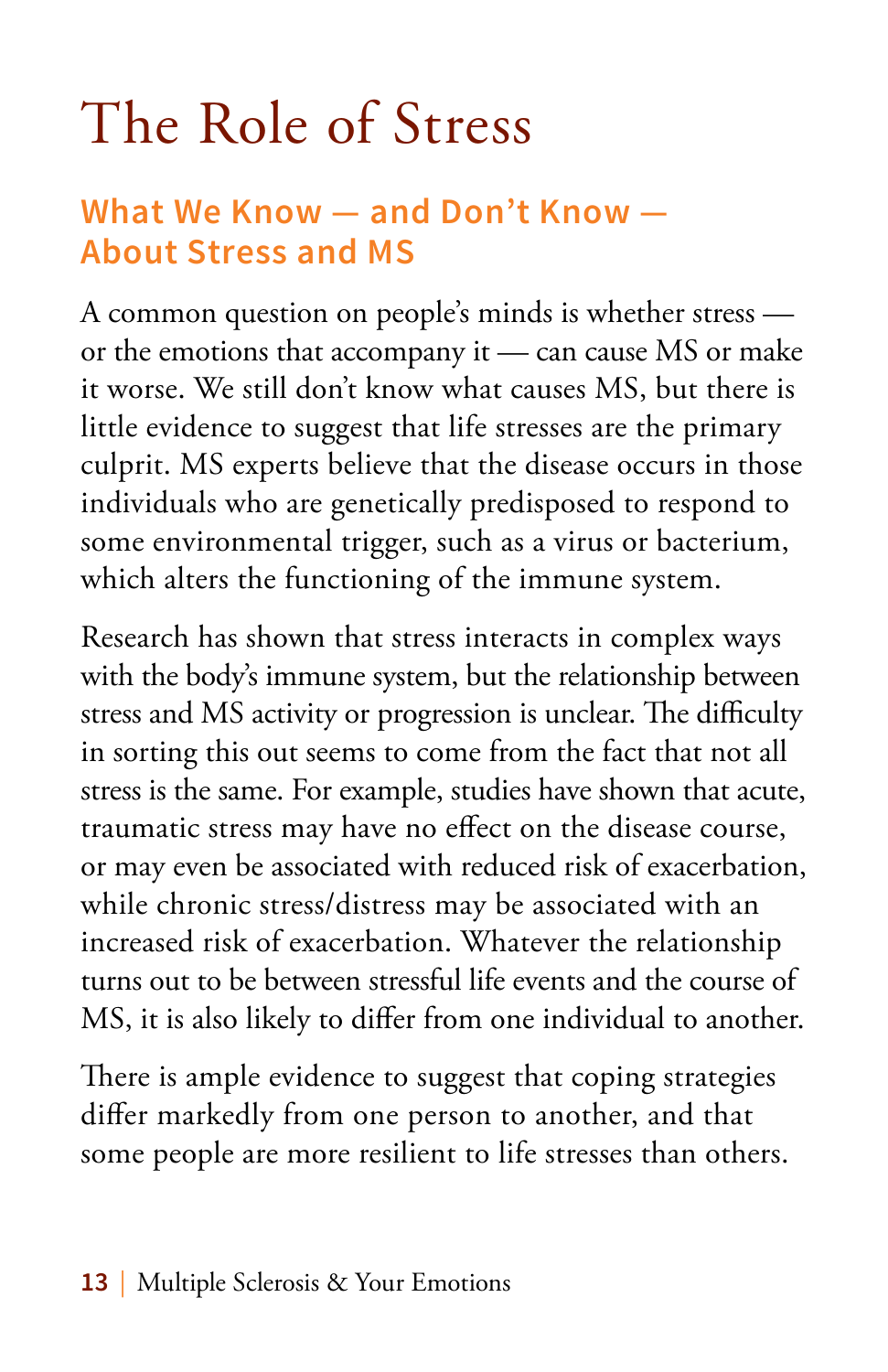# The Role of Stress

### **What We Know — and Don't Know — About Stress and MS**

A common question on people's minds is whether stress or the emotions that accompany it — can cause MS or make it worse. We still don't know what causes MS, but there is little evidence to suggest that life stresses are the primary culprit. MS experts believe that the disease occurs in those individuals who are genetically predisposed to respond to some environmental trigger, such as a virus or bacterium, which alters the functioning of the immune system.

Research has shown that stress interacts in complex ways with the body's immune system, but the relationship between stress and MS activity or progression is unclear. The difficulty in sorting this out seems to come from the fact that not all stress is the same. For example, studies have shown that acute, traumatic stress may have no effect on the disease course, or may even be associated with reduced risk of exacerbation, while chronic stress/distress may be associated with an increased risk of exacerbation. Whatever the relationship turns out to be between stressful life events and the course of MS, it is also likely to differ from one individual to another.

There is ample evidence to suggest that coping strategies differ markedly from one person to another, and that some people are more resilient to life stresses than others.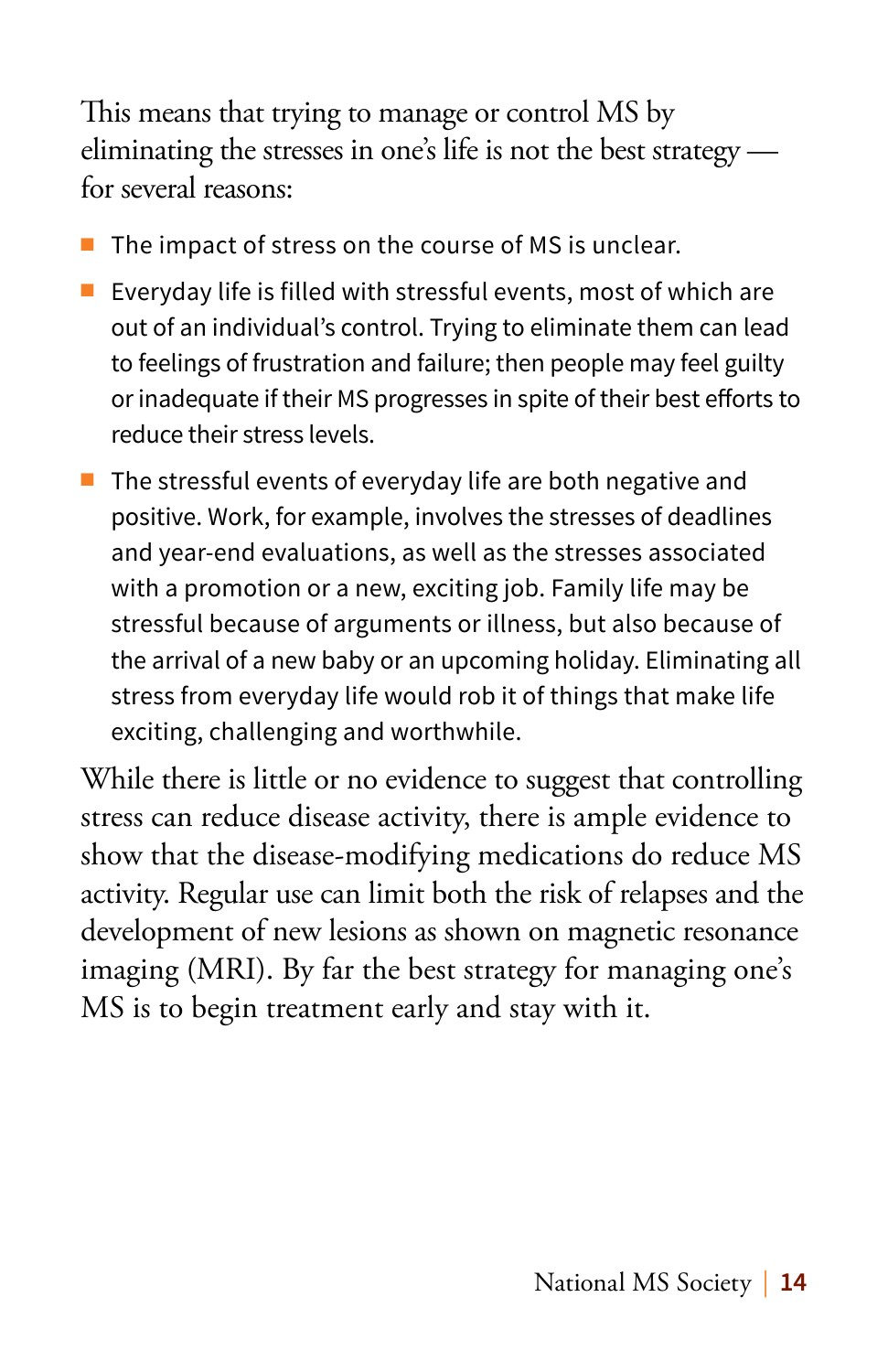This means that trying to manage or control MS by eliminating the stresses in one's life is not the best strategy for several reasons:

- The impact of stress on the course of MS is unclear.
- Everyday life is filled with stressful events, most of which are out of an individual's control. Trying to eliminate them can lead to feelings of frustration and failure; then people may feel guilty or inadequate if their MS progresses in spite of their best efforts to reduce their stress levels.
- The stressful events of everyday life are both negative and positive. Work, for example, involves the stresses of deadlines and year-end evaluations, as well as the stresses associated with a promotion or a new, exciting job. Family life may be stressful because of arguments or illness, but also because of the arrival of a new baby or an upcoming holiday. Eliminating all stress from everyday life would rob it of things that make life exciting, challenging and worthwhile.

While there is little or no evidence to suggest that controlling stress can reduce disease activity, there is ample evidence to show that the disease-modifying medications do reduce MS activity. Regular use can limit both the risk of relapses and the development of new lesions as shown on magnetic resonance imaging (MRI). By far the best strategy for managing one's MS is to begin treatment early and stay with it.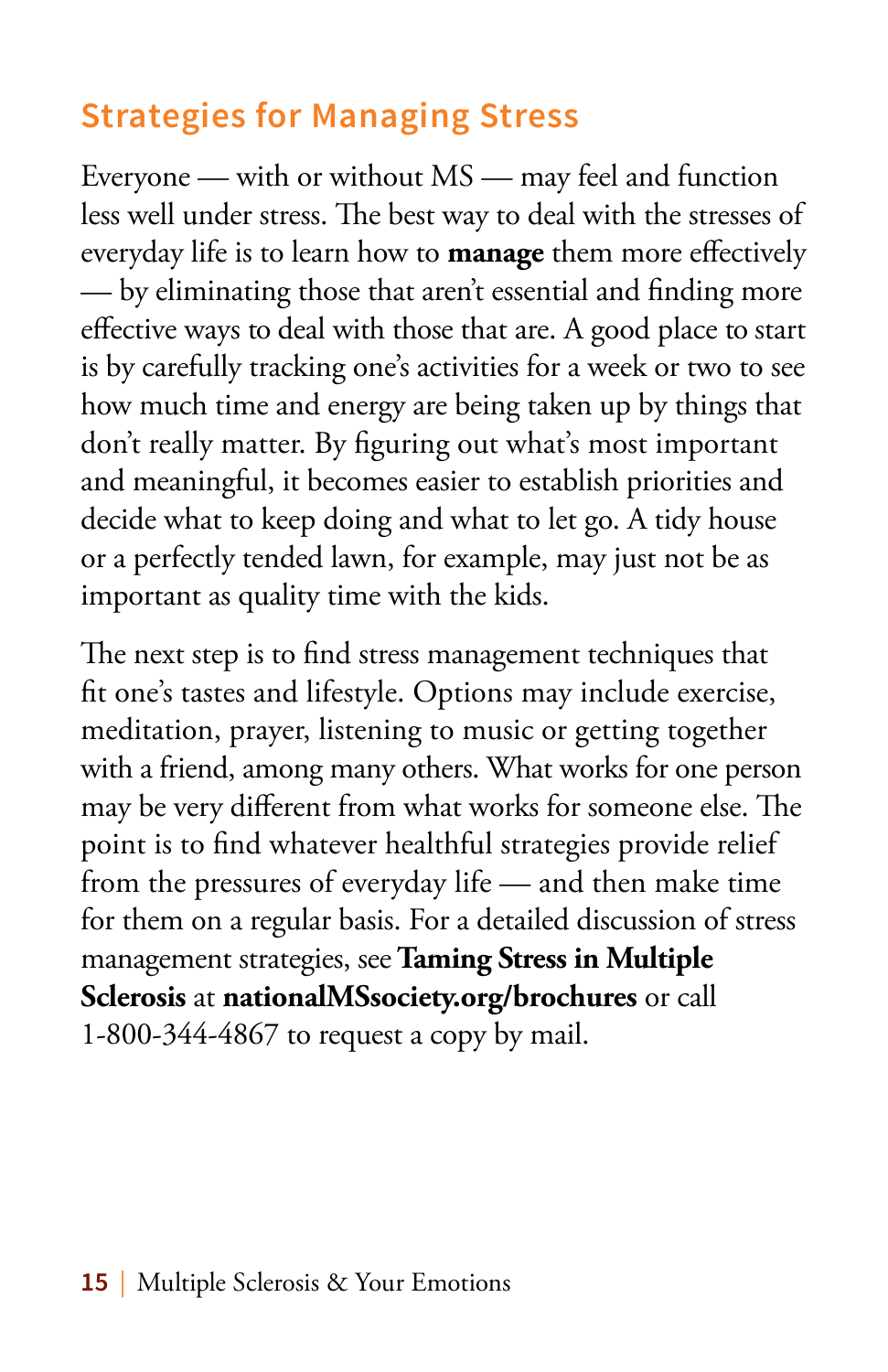### **Strategies for Managing Stress**

Everyone — with or without MS — may feel and function less well under stress. The best way to deal with the stresses of everyday life is to learn how to **manage** them more effectively — by eliminating those that aren't essential and finding more effective ways to deal with those that are. A good place to start is by carefully tracking one's activities for a week or two to see how much time and energy are being taken up by things that don't really matter. By figuring out what's most important and meaningful, it becomes easier to establish priorities and decide what to keep doing and what to let go. A tidy house or a perfectly tended lawn, for example, may just not be as important as quality time with the kids.

The next step is to find stress management techniques that fit one's tastes and lifestyle. Options may include exercise, meditation, prayer, listening to music or getting together with a friend, among many others. What works for one person may be very different from what works for someone else. The point is to find whatever healthful strategies provide relief from the pressures of everyday life — and then make time for them on a regular basis. For a detailed discussion of stress management strategies, see **Taming Stress in Multiple Sclerosis** at **nationalMSsociety.org/brochures** or call 1-800-344-4867 to request a copy by mail.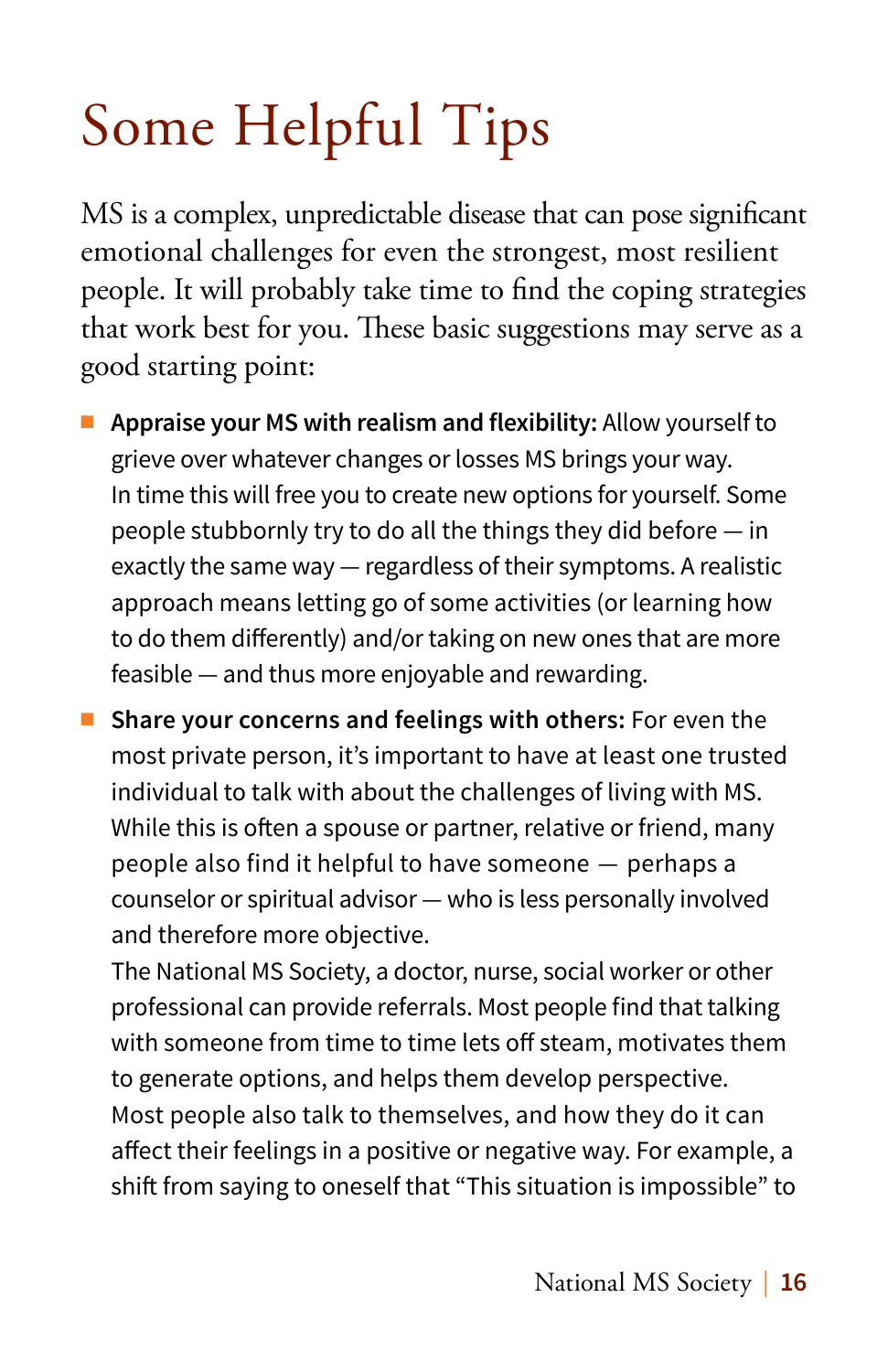# Some Helpful Tips

MS is a complex, unpredictable disease that can pose significant emotional challenges for even the strongest, most resilient people. It will probably take time to find the coping strategies that work best for you. These basic suggestions may serve as a good starting point:

■ **Appraise your MS with realism and flexibility:** Allow yourself to grieve over whatever changes or losses MS brings your way. In time this will free you to create new options for yourself. Some people stubbornly try to do all the things they did before — in exactly the same way — regardless of their symptoms. A realistic approach means letting go of some activities (or learning how to do them differently) and/or taking on new ones that are more feasible — and thus more enjoyable and rewarding.

■ **Share your concerns and feelings with others:** For even the most private person, it's important to have at least one trusted individual to talk with about the challenges of living with MS. While this is often a spouse or partner, relative or friend, many people also find it helpful to have someone — perhaps a counselor or spiritual advisor — who is less personally involved and therefore more objective.

The National MS Society, a doctor, nurse, social worker or other professional can provide referrals. Most people find that talking with someone from time to time lets off steam, motivates them to generate options, and helps them develop perspective. Most people also talk to themselves, and how they do it can affect their feelings in a positive or negative way. For example, a shift from saying to oneself that "This situation is impossible" to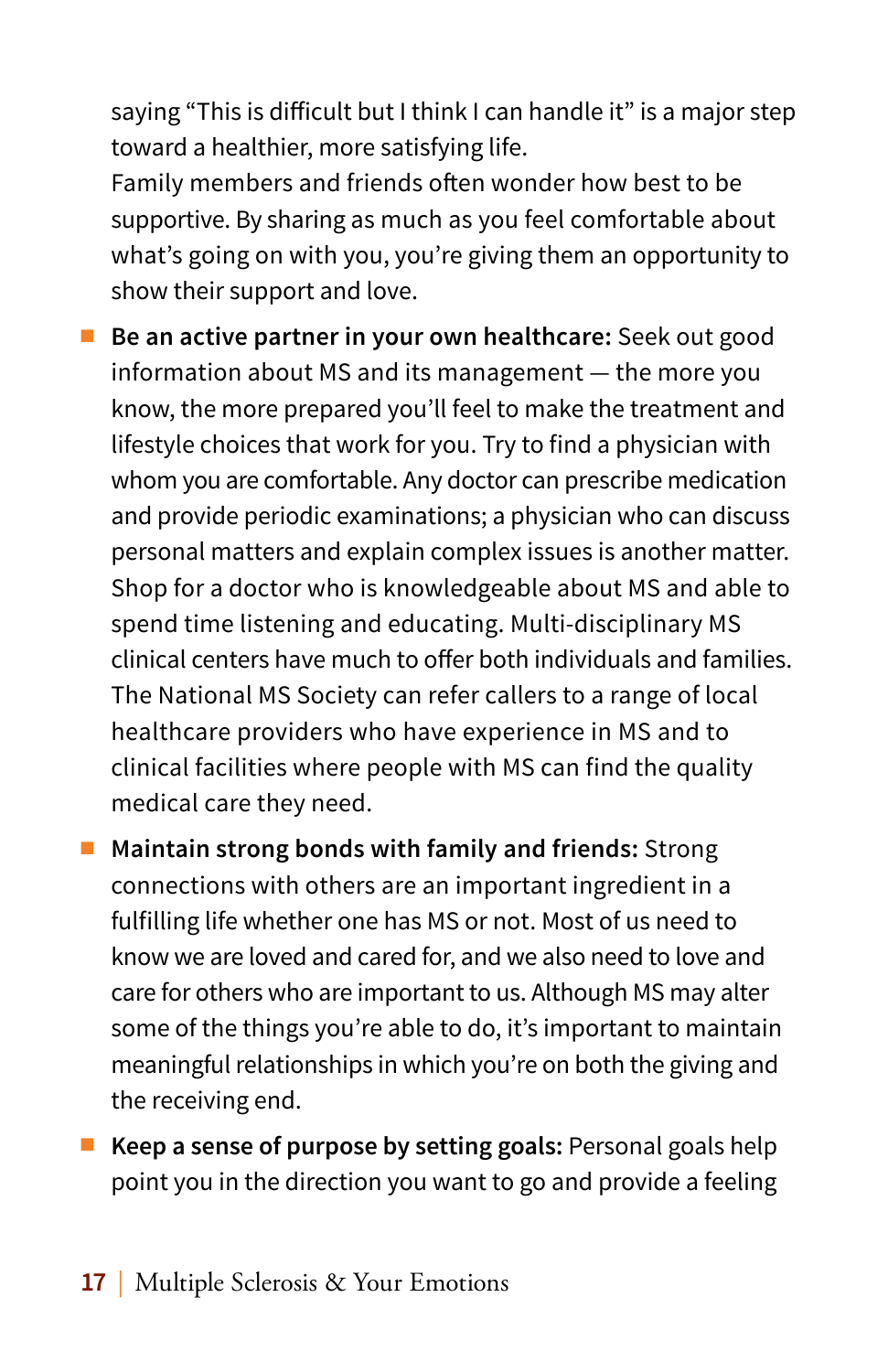saying "This is difficult but I think I can handle it" is a major step toward a healthier, more satisfying life.

Family members and friends often wonder how best to be supportive. By sharing as much as you feel comfortable about what's going on with you, you're giving them an opportunity to show their support and love.

■ **Be an active partner in your own healthcare:** Seek out good information about MS and its management — the more you know, the more prepared you'll feel to make the treatment and lifestyle choices that work for you. Try to find a physician with whom you are comfortable. Any doctor can prescribe medication and provide periodic examinations; a physician who can discuss personal matters and explain complex issues is another matter. Shop for a doctor who is knowledgeable about MS and able to spend time listening and educating. Multi-disciplinary MS clinical centers have much to offer both individuals and families. The National MS Society can refer callers to a range of local healthcare providers who have experience in MS and to clinical facilities where people with MS can find the quality medical care they need.

- **Maintain strong bonds with family and friends:** Strong connections with others are an important ingredient in a fulfilling life whether one has MS or not. Most of us need to know we are loved and cared for, and we also need to love and care for others who are important to us. Although MS may alter some of the things you're able to do, it's important to maintain meaningful relationships in which you're on both the giving and the receiving end.
- **Keep a sense of purpose by setting goals:** Personal goals help point you in the direction you want to go and provide a feeling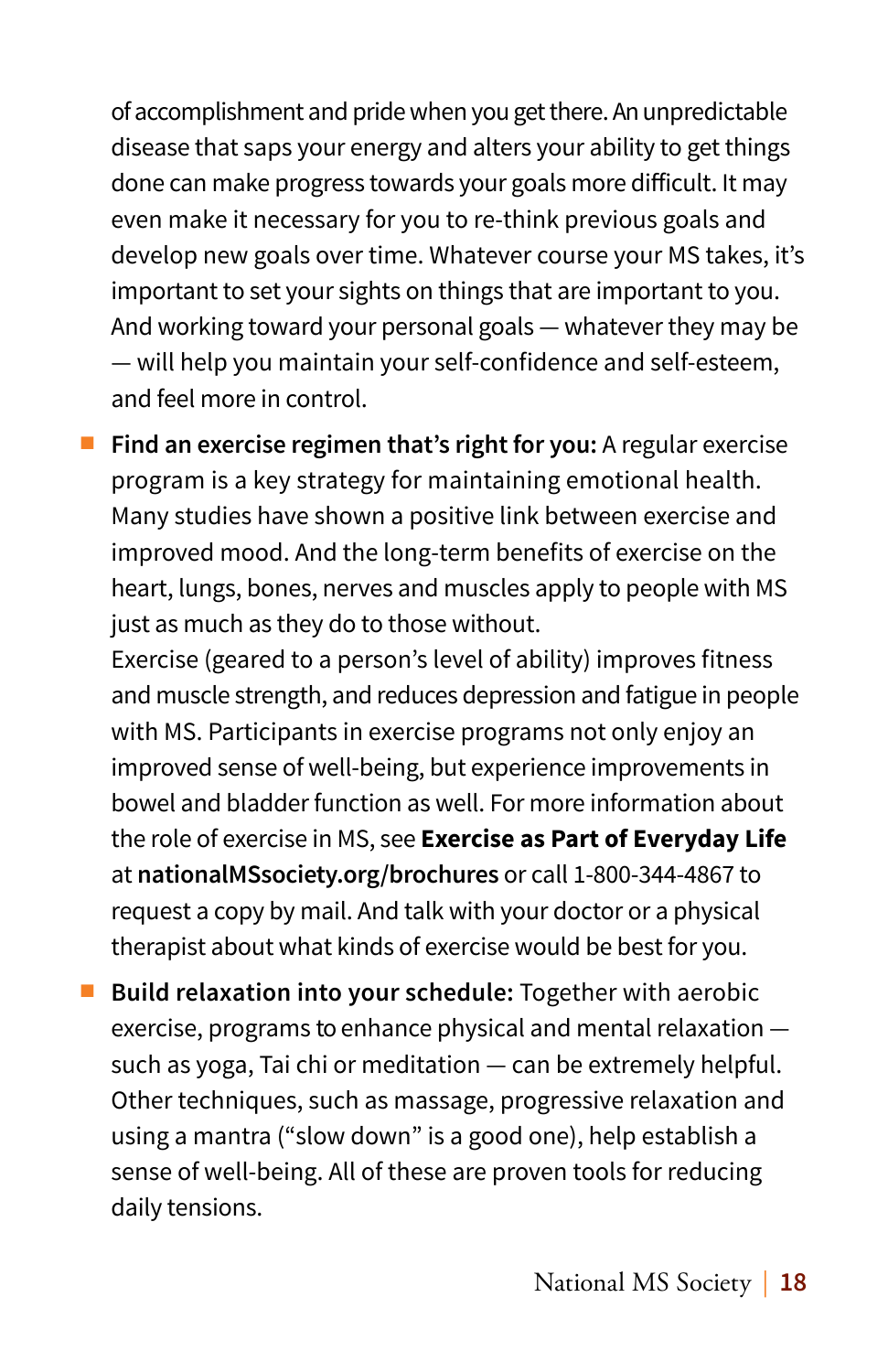of accomplishment and pride when you get there. An unpredictable disease that saps your energy and alters your ability to get things done can make progress towards your goals more difficult. It may even make it necessary for you to re-think previous goals and develop new goals over time. Whatever course your MS takes, it's important to set your sights on things that are important to you. And working toward your personal goals — whatever they may be — will help you maintain your self-confidence and self-esteem, and feel more in control.

■ **Find an exercise regimen that's right for you:** A regular exercise program is a key strategy for maintaining emotional health. Many studies have shown a positive link between exercise and improved mood. And the long-term benefits of exercise on the heart, lungs, bones, nerves and muscles apply to people with MS just as much as they do to those without.

Exercise (geared to a person's level of ability) improves fitness and muscle strength, and reduces depression and fatigue in people with MS. Participants in exercise programs not only enjoy an improved sense of well-being, but experience improvements in bowel and bladder function as well. For more information about the role of exercise in MS, see **Exercise as Part of Everyday Life** at **nationalMSsociety.org/brochures** or call 1-800-344-4867 to request a copy by mail. And talk with your doctor or a physical therapist about what kinds of exercise would be best for you.

■ **Build relaxation into your schedule:** Together with aerobic exercise, programs to enhance physical and mental relaxation such as yoga, Tai chi or meditation — can be extremely helpful. Other techniques, such as massage, progressive relaxation and using a mantra ("slow down" is a good one), help establish a sense of well-being. All of these are proven tools for reducing daily tensions.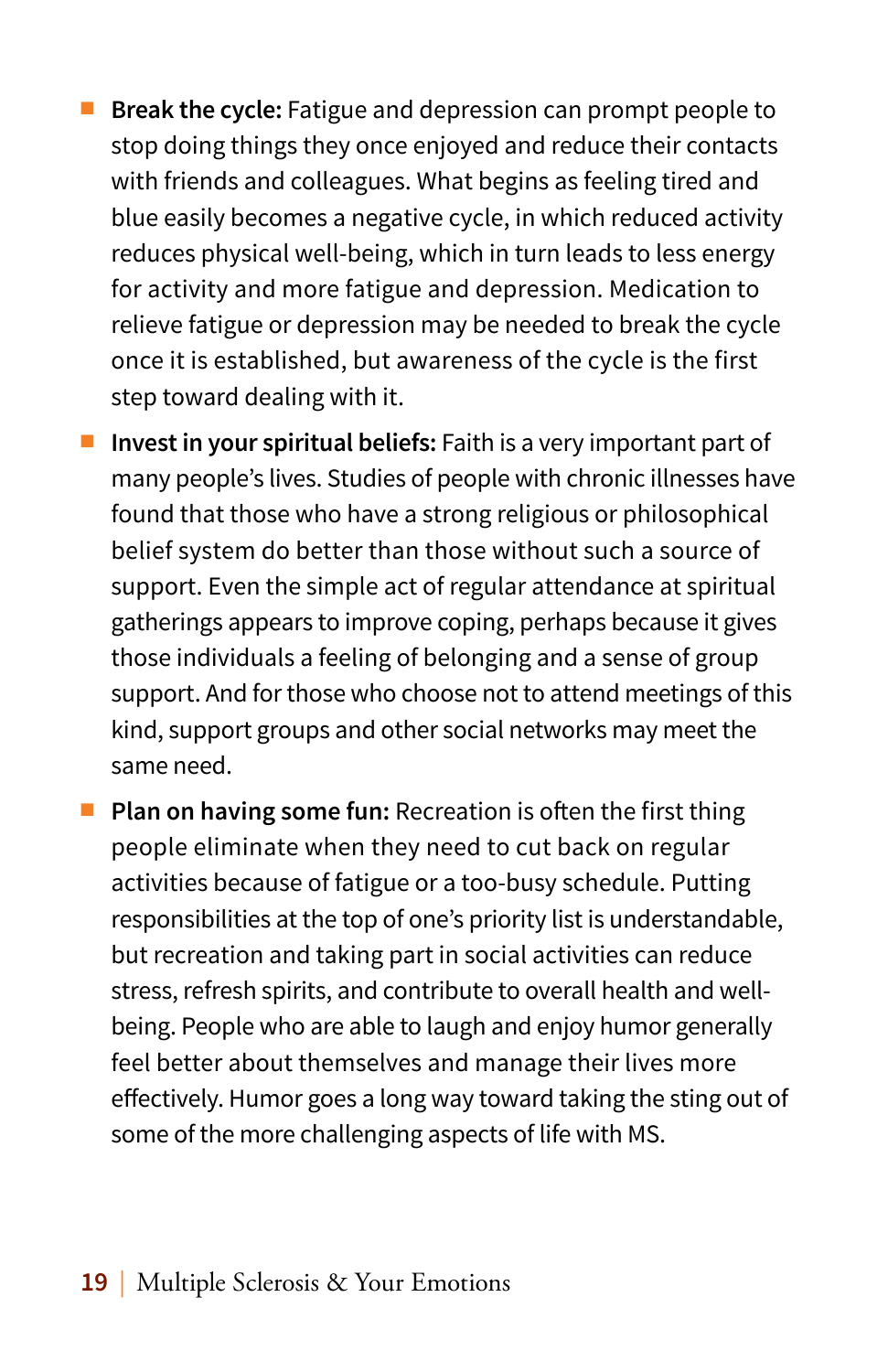- **Break the cycle:** Fatigue and depression can prompt people to stop doing things they once enjoyed and reduce their contacts with friends and colleagues. What begins as feeling tired and blue easily becomes a negative cycle, in which reduced activity reduces physical well-being, which in turn leads to less energy for activity and more fatigue and depression. Medication to relieve fatigue or depression may be needed to break the cycle once it is established, but awareness of the cycle is the first step toward dealing with it.
- **Invest in your spiritual beliefs:** Faith is a very important part of many people's lives. Studies of people with chronic illnesses have found that those who have a strong religious or philosophical belief system do better than those without such a source of support. Even the simple act of regular attendance at spiritual gatherings appears to improve coping, perhaps because it gives those individuals a feeling of belonging and a sense of group support. And for those who choose not to attend meetings of this kind, support groups and other social networks may meet the same need.
- **Plan on having some fun:** Recreation is often the first thing people eliminate when they need to cut back on regular activities because of fatigue or a too-busy schedule. Putting responsibilities at the top of one's priority list is understandable, but recreation and taking part in social activities can reduce stress, refresh spirits, and contribute to overall health and wellbeing. People who are able to laugh and enjoy humor generally feel better about themselves and manage their lives more effectively. Humor goes a long way toward taking the sting out of some of the more challenging aspects of life with MS.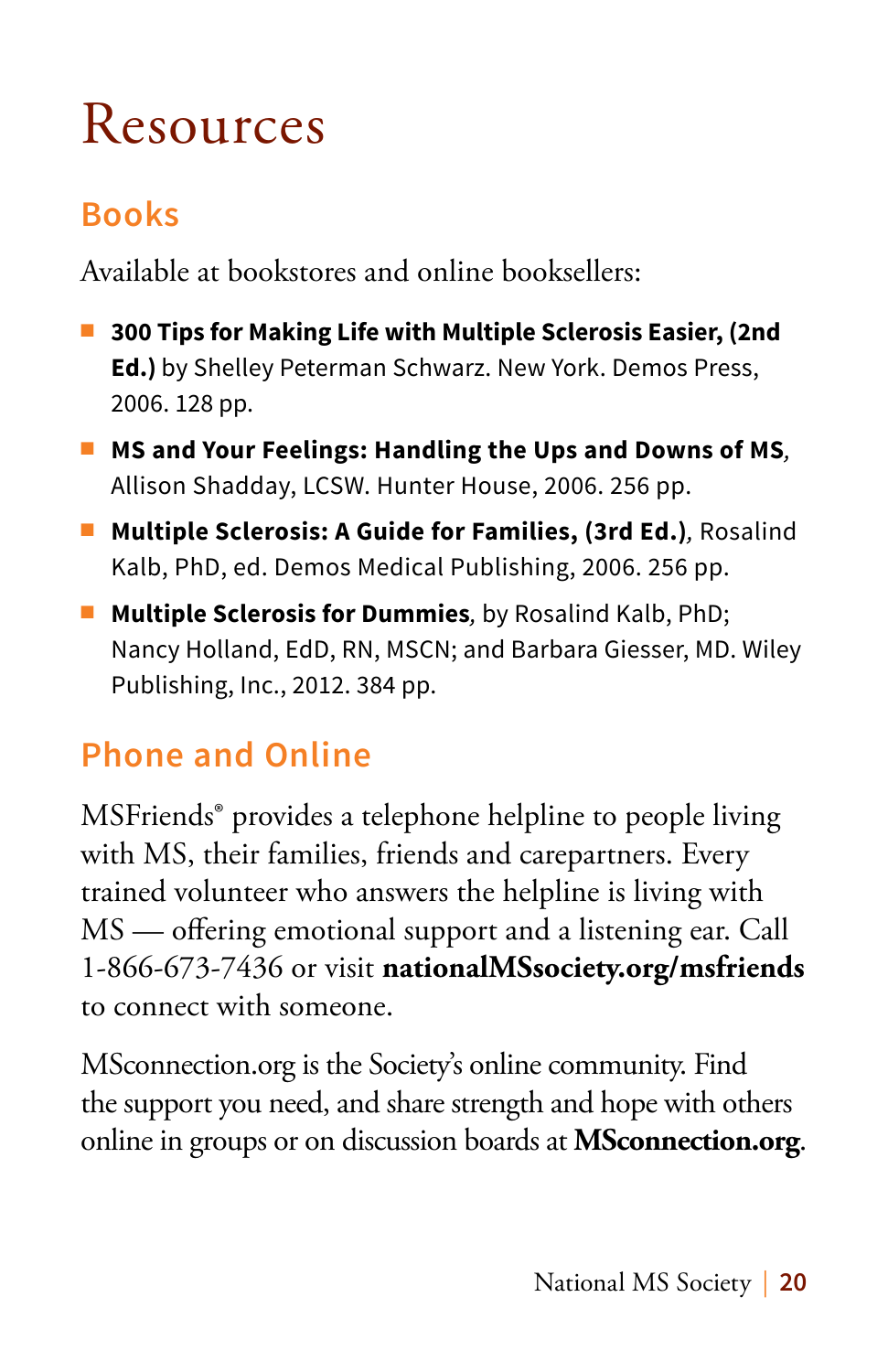# Resources

### **Books**

Available at bookstores and online booksellers:

- **300 Tips for Making Life with Multiple Sclerosis Easier, (2nd Ed.)** by Shelley Peterman Schwarz. New York. Demos Press, 2006. 128 pp.
- MS and Your Feelings: Handling the Ups and Downs of MS, Allison Shadday, LCSW. Hunter House, 2006. 256 pp.
- **Multiple Sclerosis: A Guide for Families, (3rd Ed.)**, Rosalind Kalb, PhD, ed. Demos Medical Publishing, 2006. 256 pp.
- **Multiple Sclerosis for Dummies**, by Rosalind Kalb, PhD; Nancy Holland, EdD, RN, MSCN; and Barbara Giesser, MD. Wiley Publishing, Inc., 2012. 384 pp.

### **Phone and Online**

MSFriends® provides a telephone helpline to people living with MS, their families, friends and carepartners. Every trained volunteer who answers the helpline is living with MS — offering emotional support and a listening ear. Call 1-866-673-7436 or visit **nationalMSsociety.org/msfriends**  to connect with someone.

MSconnection.org is the Society's online community. Find the support you need, and share strength and hope with others online in groups or on discussion boards at **MSconnection.org**.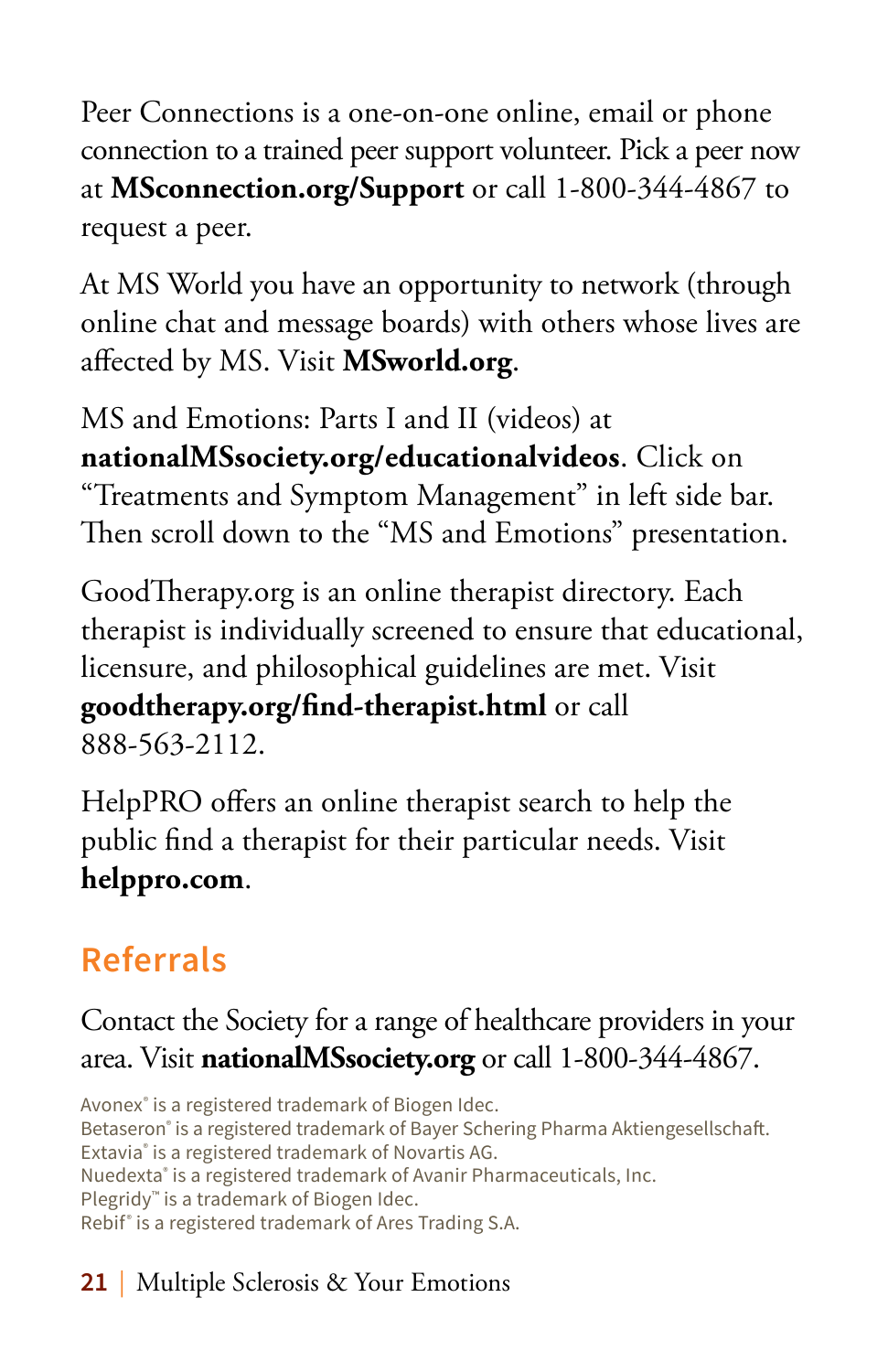Peer Connections is a one-on-one online, email or phone connection to a trained peer support volunteer. Pick a peer now at **MSconnection.org/Support** or call 1-800-344-4867 to request a peer.

At MS World you have an opportunity to network (through online chat and message boards) with others whose lives are affected by MS. Visit **MSworld.org**.

MS and Emotions: Parts I and II (videos) at **nationalMSsociety.org/educationalvideos**. Click on "Treatments and Symptom Management" in left side bar. Then scroll down to the "MS and Emotions" presentation.

GoodTherapy.org is an online therapist directory. Each therapist is individually screened to ensure that educational, licensure, and philosophical guidelines are met. Visit **goodtherapy.org/find-therapist.html** or call 888-563-2112.

HelpPRO offers an online therapist search to help the public find a therapist for their particular needs. Visit **helppro.com**.

## **Referrals**

Contact the Society for a range of healthcare providers in your area. Visit **nationalMSsociety.org** or call 1-800-344-4867.

Avonex® is a registered trademark of Biogen Idec. Betaseron® is a registered trademark of Bayer Schering Pharma Aktiengesellschaft. Extavia® is a registered trademark of Novartis AG. Nuedexta® is a registered trademark of Avanir Pharmaceuticals, Inc. Plegridy™ is a trademark of Biogen Idec. Rebif® is a registered trademark of Ares Trading S.A.

#### **21** | Multiple Sclerosis & Your Emotions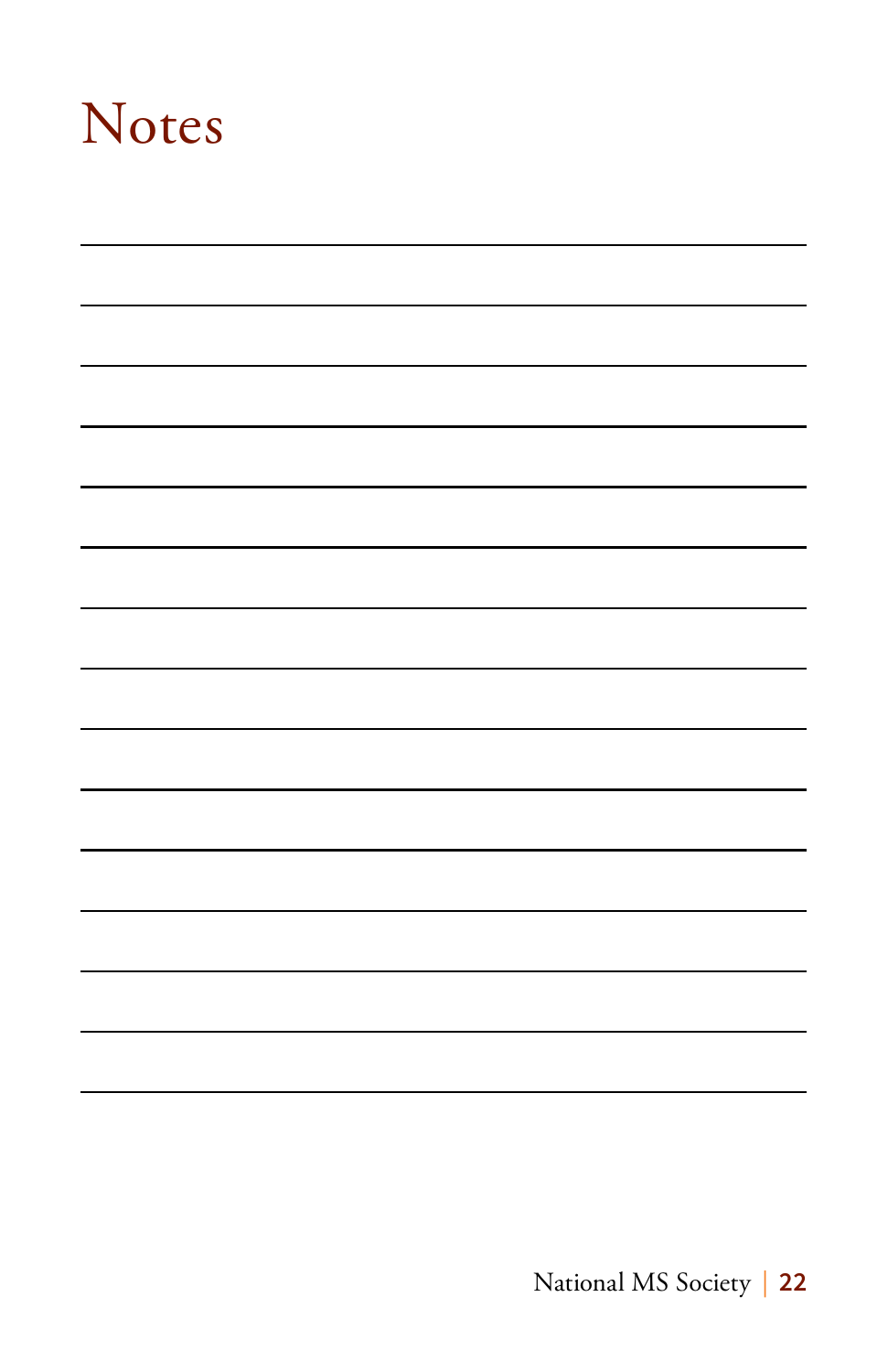# Notes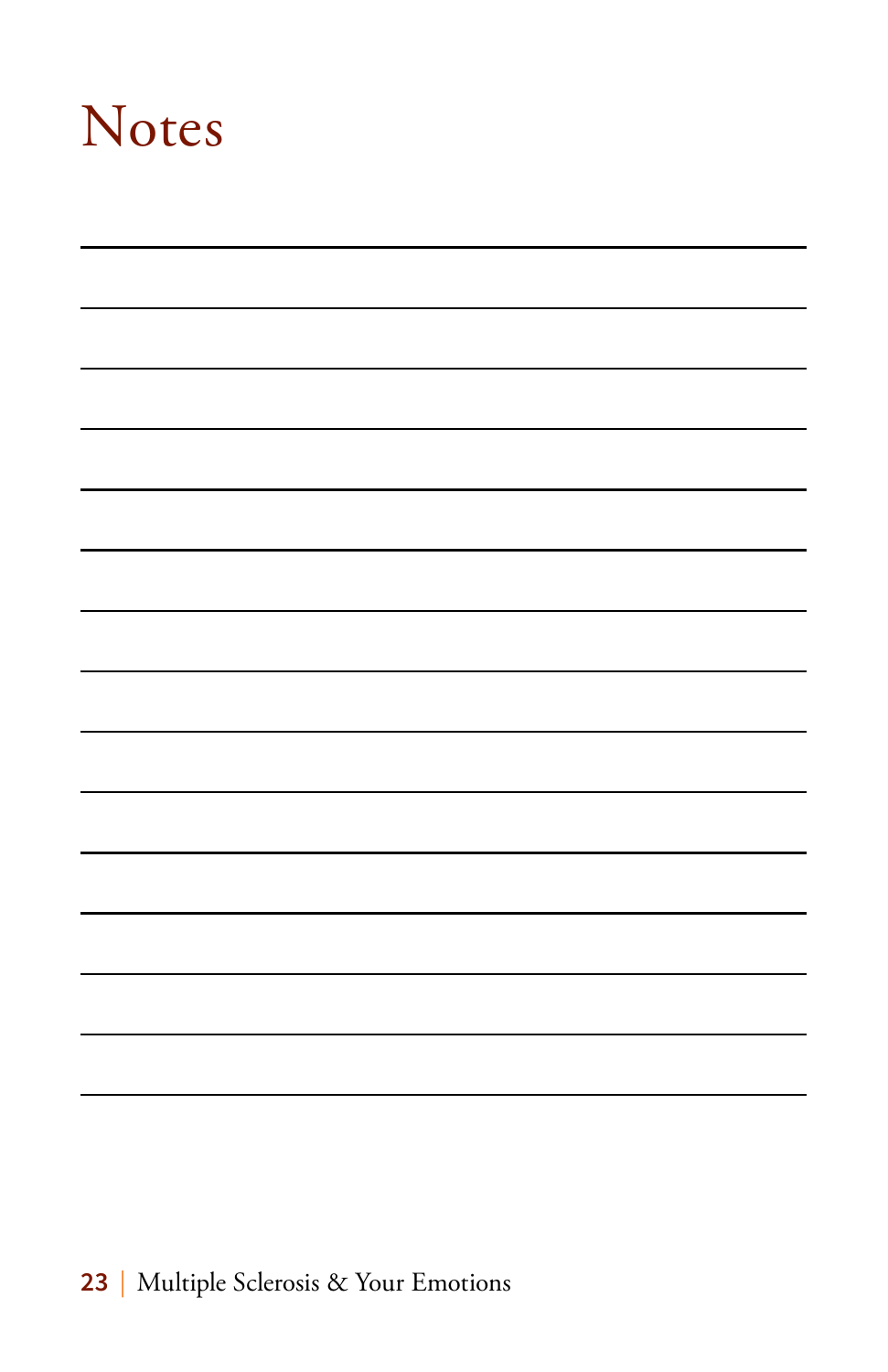## Notes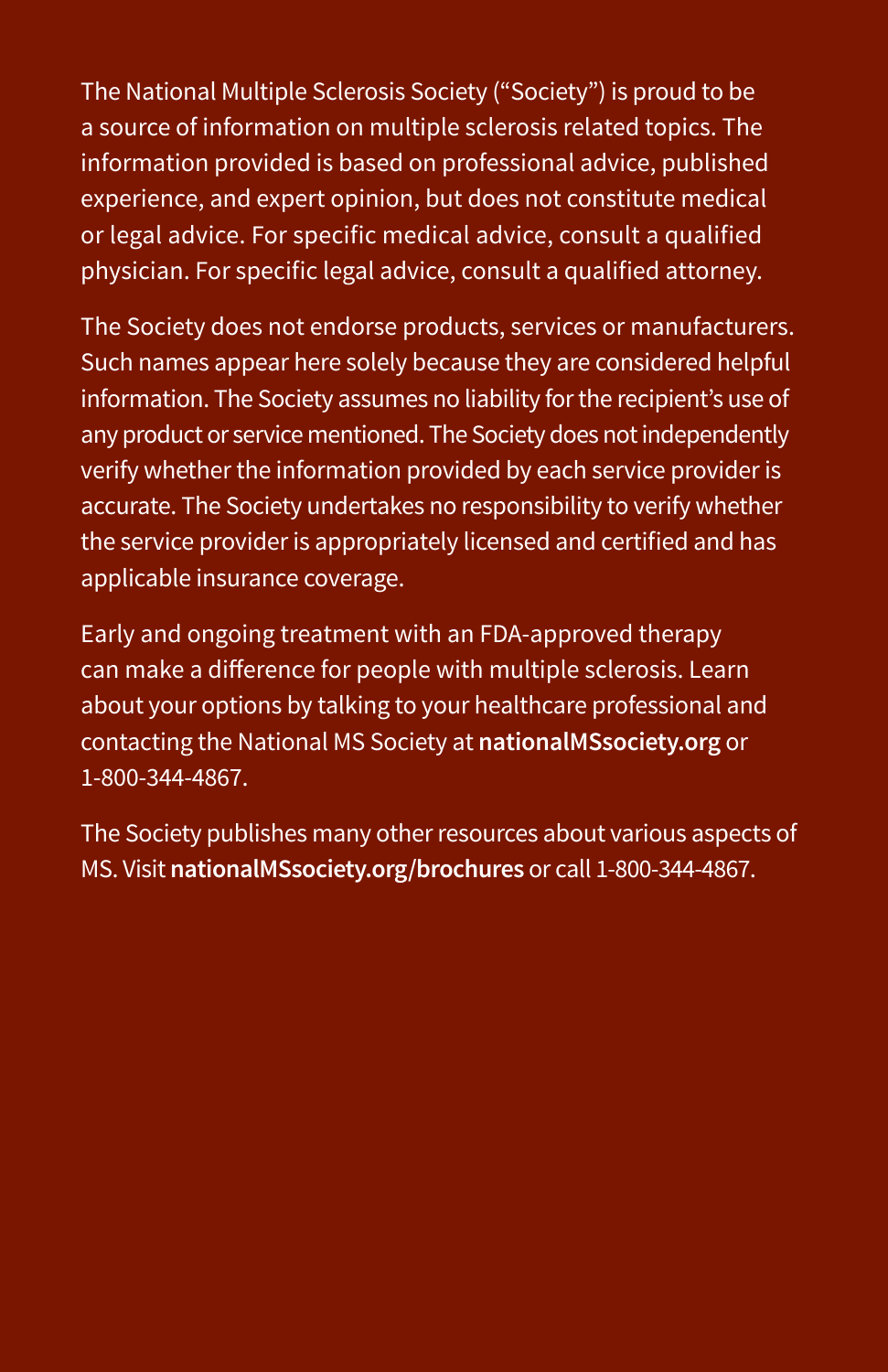The National Multiple Sclerosis Society ("Society") is proud to be a source of information on multiple sclerosis related topics. The information provided is based on professional advice, published experience, and expert opinion, but does not constitute medical or legal advice. For specific medical advice, consult a qualified physician. For specific legal advice, consult a qualified attorney.

The Society does not endorse products, services or manufacturers. Such names appear here solely because they are considered helpful information. The Society assumes no liability for the recipient's use of any product or service mentioned. The Society does not independently verify whether the information provided by each service provider is accurate. The Society undertakes no responsibility to verify whether the service provider is appropriately licensed and certified and has applicable insurance coverage.

Early and ongoing treatment with an FDA-approved therapy can make a difference for people with multiple sclerosis. Learn about your options by talking to your healthcare professional and contacting the National MS Society at **nationalMSsociety.org** or 1-800-344-4867.

The Society publishes many other resources about various aspects of MS. Visit **nationalMSsociety.org/brochures** or call 1-800-344-4867.